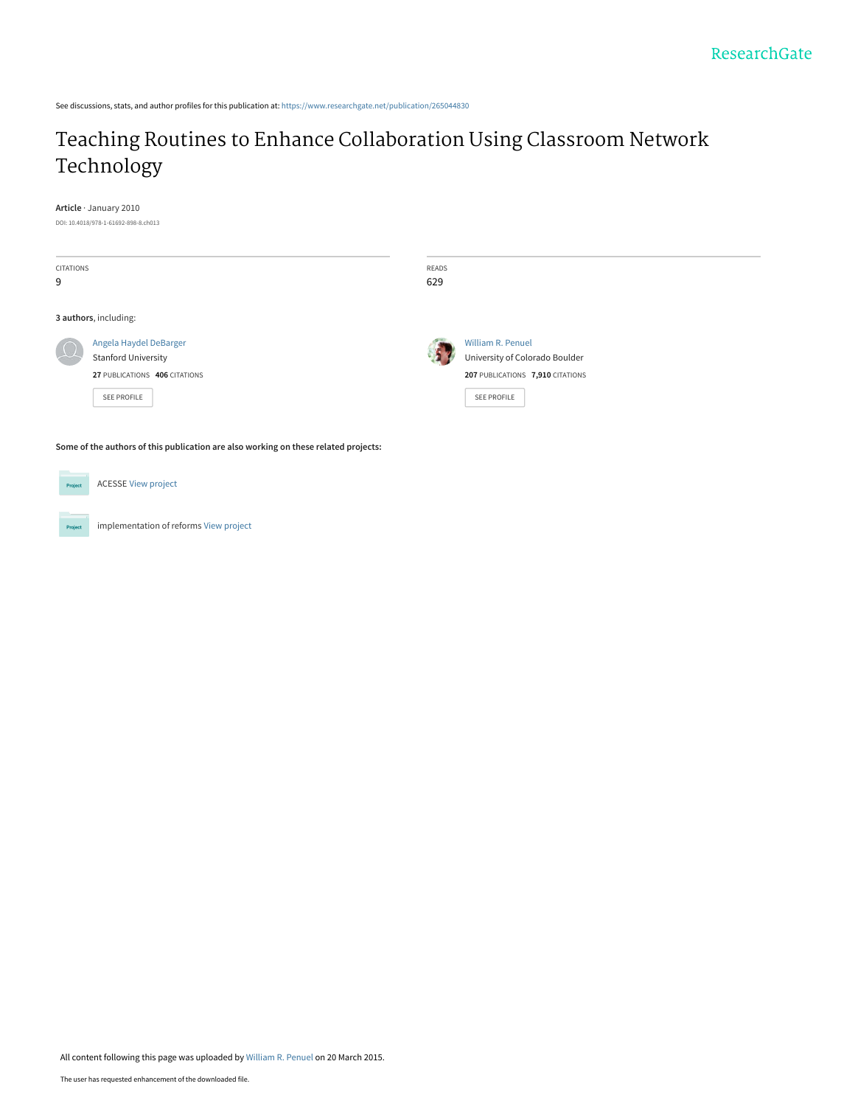See discussions, stats, and author profiles for this publication at: [https://www.researchgate.net/publication/265044830](https://www.researchgate.net/publication/265044830_Teaching_Routines_to_Enhance_Collaboration_Using_Classroom_Network_Technology?enrichId=rgreq-1de0fd7fe87ee72d65854a03ad1667ff-XXX&enrichSource=Y292ZXJQYWdlOzI2NTA0NDgzMDtBUzoyMDg4Nzg1NzE2NTkyNjRAMTQyNjgxMTk0MDIwNw%3D%3D&el=1_x_2&_esc=publicationCoverPdf)

## [Teaching Routines to Enhance Collaboration Using Classroom Network](https://www.researchgate.net/publication/265044830_Teaching_Routines_to_Enhance_Collaboration_Using_Classroom_Network_Technology?enrichId=rgreq-1de0fd7fe87ee72d65854a03ad1667ff-XXX&enrichSource=Y292ZXJQYWdlOzI2NTA0NDgzMDtBUzoyMDg4Nzg1NzE2NTkyNjRAMTQyNjgxMTk0MDIwNw%3D%3D&el=1_x_3&_esc=publicationCoverPdf) Technology

#### **Article** · January 2010

DOI: 10.4018/978-1-61692-898-8.ch013

| <b>CITATIONS</b>                                                                    | READS                            |  |  |  |
|-------------------------------------------------------------------------------------|----------------------------------|--|--|--|
| 9                                                                                   | 629                              |  |  |  |
| 3 authors, including:                                                               |                                  |  |  |  |
| Angela Haydel DeBarger                                                              | <b>William R. Penuel</b>         |  |  |  |
| <b>Stanford University</b>                                                          | University of Colorado Boulder   |  |  |  |
| 27 PUBLICATIONS 406 CITATIONS                                                       | 207 PUBLICATIONS 7,910 CITATIONS |  |  |  |
| SEE PROFILE                                                                         | <b>SEE PROFILE</b>               |  |  |  |
| Some of the authors of this publication are also working on these related projects: |                                  |  |  |  |

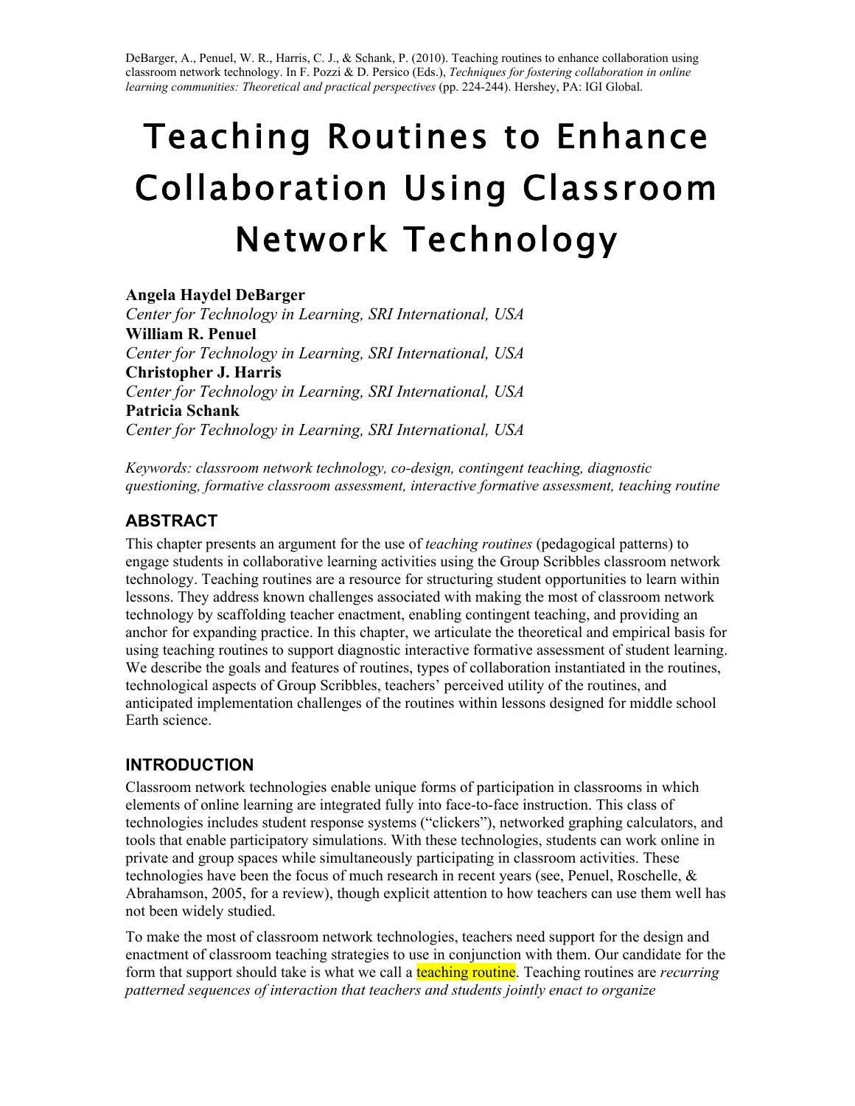DeBarger, A., Penuel, W. R., Harris, C. J., & Schank, P. (2010). Teaching routines to enhance collaboration using classroom network technology. In F. Pozzi & D. Persico (Eds.), *Techniques for fostering collaboration in online learning communities: Theoretical and practical perspectives* (pp. 224-244). Hershey, PA: IGI Global.

# Teaching Routines to Enhance Collaboration Using Classroom Network Technology

#### **Angela Haydel DeBarger**

*Center for Technology in Learning, SRI International, USA* **William R. Penuel** *Center for Technology in Learning, SRI International, USA* **Christopher J. Harris** *Center for Technology in Learning, SRI International, USA* **Patricia Schank** *Center for Technology in Learning, SRI International, USA*

*Keywords: classroom network technology, co-design, contingent teaching, diagnostic questioning, formative classroom assessment, interactive formative assessment, teaching routine*

## **ABSTRACT**

This chapter presents an argument for the use of *teaching routines* (pedagogical patterns) to engage students in collaborative learning activities using the Group Scribbles classroom network technology. Teaching routines are a resource for structuring student opportunities to learn within lessons. They address known challenges associated with making the most of classroom network technology by scaffolding teacher enactment, enabling contingent teaching, and providing an anchor for expanding practice. In this chapter, we articulate the theoretical and empirical basis for using teaching routines to support diagnostic interactive formative assessment of student learning. We describe the goals and features of routines, types of collaboration instantiated in the routines, technological aspects of Group Scribbles, teachers' perceived utility of the routines, and anticipated implementation challenges of the routines within lessons designed for middle school Earth science.

## **INTRODUCTION**

Classroom network technologies enable unique forms of participation in classrooms in which elements of online learning are integrated fully into face-to-face instruction. This class of technologies includes student response systems ("clickers"), networked graphing calculators, and tools that enable participatory simulations. With these technologies, students can work online in private and group spaces while simultaneously participating in classroom activities. These technologies have been the focus of much research in recent years (see, Penuel, Roschelle, & Abrahamson, 2005, for a review), though explicit attention to how teachers can use them well has not been widely studied.

To make the most of classroom network technologies, teachers need support for the design and enactment of classroom teaching strategies to use in conjunction with them. Our candidate for the form that support should take is what we call a teaching routine. Teaching routines are *recurring patterned sequences of interaction that teachers and students jointly enact to organize*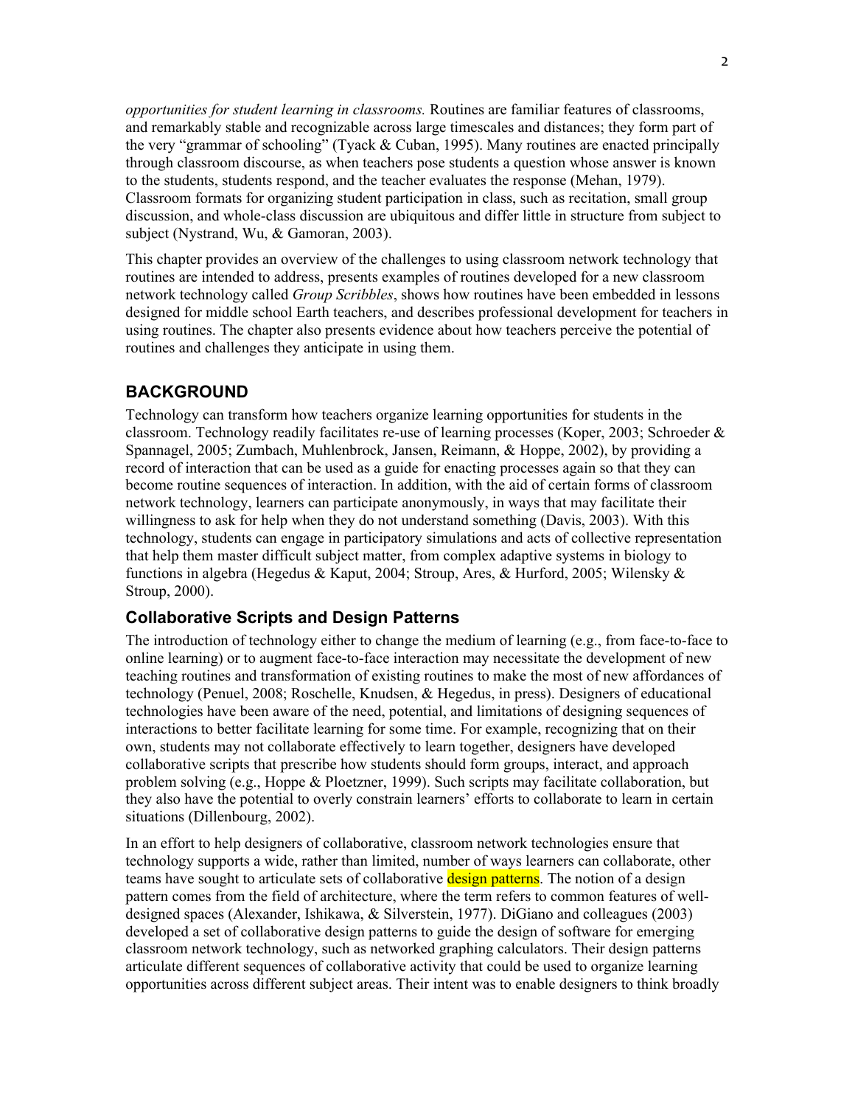*opportunities for student learning in classrooms.* Routines are familiar features of classrooms, and remarkably stable and recognizable across large timescales and distances; they form part of the very "grammar of schooling" (Tyack & Cuban, 1995). Many routines are enacted principally through classroom discourse, as when teachers pose students a question whose answer is known to the students, students respond, and the teacher evaluates the response (Mehan, 1979). Classroom formats for organizing student participation in class, such as recitation, small group discussion, and whole-class discussion are ubiquitous and differ little in structure from subject to subject (Nystrand, Wu, & Gamoran, 2003).

This chapter provides an overview of the challenges to using classroom network technology that routines are intended to address, presents examples of routines developed for a new classroom network technology called *Group Scribbles*, shows how routines have been embedded in lessons designed for middle school Earth teachers, and describes professional development for teachers in using routines. The chapter also presents evidence about how teachers perceive the potential of routines and challenges they anticipate in using them.

#### **BACKGROUND**

Technology can transform how teachers organize learning opportunities for students in the classroom. Technology readily facilitates re-use of learning processes (Koper, 2003; Schroeder  $\&$ Spannagel, 2005; Zumbach, Muhlenbrock, Jansen, Reimann, & Hoppe, 2002), by providing a record of interaction that can be used as a guide for enacting processes again so that they can become routine sequences of interaction. In addition, with the aid of certain forms of classroom network technology, learners can participate anonymously, in ways that may facilitate their willingness to ask for help when they do not understand something (Davis, 2003). With this technology, students can engage in participatory simulations and acts of collective representation that help them master difficult subject matter, from complex adaptive systems in biology to functions in algebra (Hegedus & Kaput, 2004; Stroup, Ares, & Hurford, 2005; Wilensky & Stroup, 2000).

#### **Collaborative Scripts and Design Patterns**

The introduction of technology either to change the medium of learning (e.g., from face-to-face to online learning) or to augment face-to-face interaction may necessitate the development of new teaching routines and transformation of existing routines to make the most of new affordances of technology (Penuel, 2008; Roschelle, Knudsen, & Hegedus, in press). Designers of educational technologies have been aware of the need, potential, and limitations of designing sequences of interactions to better facilitate learning for some time. For example, recognizing that on their own, students may not collaborate effectively to learn together, designers have developed collaborative scripts that prescribe how students should form groups, interact, and approach problem solving (e.g., Hoppe & Ploetzner, 1999). Such scripts may facilitate collaboration, but they also have the potential to overly constrain learners' efforts to collaborate to learn in certain situations (Dillenbourg, 2002).

In an effort to help designers of collaborative, classroom network technologies ensure that technology supports a wide, rather than limited, number of ways learners can collaborate, other teams have sought to articulate sets of collaborative design patterns. The notion of a design pattern comes from the field of architecture, where the term refers to common features of welldesigned spaces (Alexander, Ishikawa, & Silverstein, 1977). DiGiano and colleagues (2003) developed a set of collaborative design patterns to guide the design of software for emerging classroom network technology, such as networked graphing calculators. Their design patterns articulate different sequences of collaborative activity that could be used to organize learning opportunities across different subject areas. Their intent was to enable designers to think broadly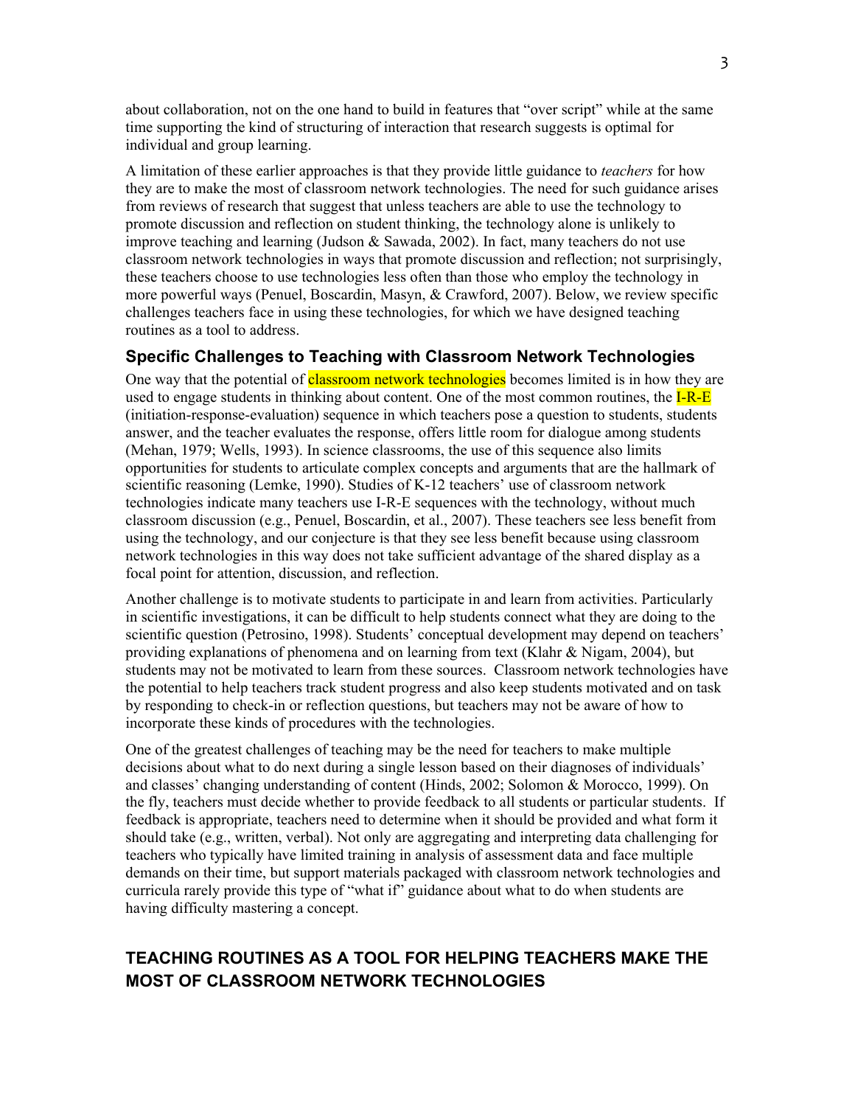about collaboration, not on the one hand to build in features that "over script" while at the same time supporting the kind of structuring of interaction that research suggests is optimal for individual and group learning.

A limitation of these earlier approaches is that they provide little guidance to *teachers* for how they are to make the most of classroom network technologies. The need for such guidance arises from reviews of research that suggest that unless teachers are able to use the technology to promote discussion and reflection on student thinking, the technology alone is unlikely to improve teaching and learning (Judson  $\&$  Sawada, 2002). In fact, many teachers do not use classroom network technologies in ways that promote discussion and reflection; not surprisingly, these teachers choose to use technologies less often than those who employ the technology in more powerful ways (Penuel, Boscardin, Masyn, & Crawford, 2007). Below, we review specific challenges teachers face in using these technologies, for which we have designed teaching routines as a tool to address.

#### **Specific Challenges to Teaching with Classroom Network Technologies**

One way that the potential of classroom network technologies becomes limited is in how they are used to engage students in thinking about content. One of the most common routines, the  $I-R-E$ (initiation-response-evaluation) sequence in which teachers pose a question to students, students answer, and the teacher evaluates the response, offers little room for dialogue among students (Mehan, 1979; Wells, 1993). In science classrooms, the use of this sequence also limits opportunities for students to articulate complex concepts and arguments that are the hallmark of scientific reasoning (Lemke, 1990). Studies of K-12 teachers' use of classroom network technologies indicate many teachers use I-R-E sequences with the technology, without much classroom discussion (e.g., Penuel, Boscardin, et al., 2007). These teachers see less benefit from using the technology, and our conjecture is that they see less benefit because using classroom network technologies in this way does not take sufficient advantage of the shared display as a focal point for attention, discussion, and reflection.

Another challenge is to motivate students to participate in and learn from activities. Particularly in scientific investigations, it can be difficult to help students connect what they are doing to the scientific question (Petrosino, 1998). Students' conceptual development may depend on teachers' providing explanations of phenomena and on learning from text (Klahr & Nigam, 2004), but students may not be motivated to learn from these sources. Classroom network technologies have the potential to help teachers track student progress and also keep students motivated and on task by responding to check-in or reflection questions, but teachers may not be aware of how to incorporate these kinds of procedures with the technologies.

One of the greatest challenges of teaching may be the need for teachers to make multiple decisions about what to do next during a single lesson based on their diagnoses of individuals' and classes' changing understanding of content (Hinds, 2002; Solomon & Morocco, 1999). On the fly, teachers must decide whether to provide feedback to all students or particular students. If feedback is appropriate, teachers need to determine when it should be provided and what form it should take (e.g., written, verbal). Not only are aggregating and interpreting data challenging for teachers who typically have limited training in analysis of assessment data and face multiple demands on their time, but support materials packaged with classroom network technologies and curricula rarely provide this type of "what if" guidance about what to do when students are having difficulty mastering a concept.

## **TEACHING ROUTINES AS A TOOL FOR HELPING TEACHERS MAKE THE MOST OF CLASSROOM NETWORK TECHNOLOGIES**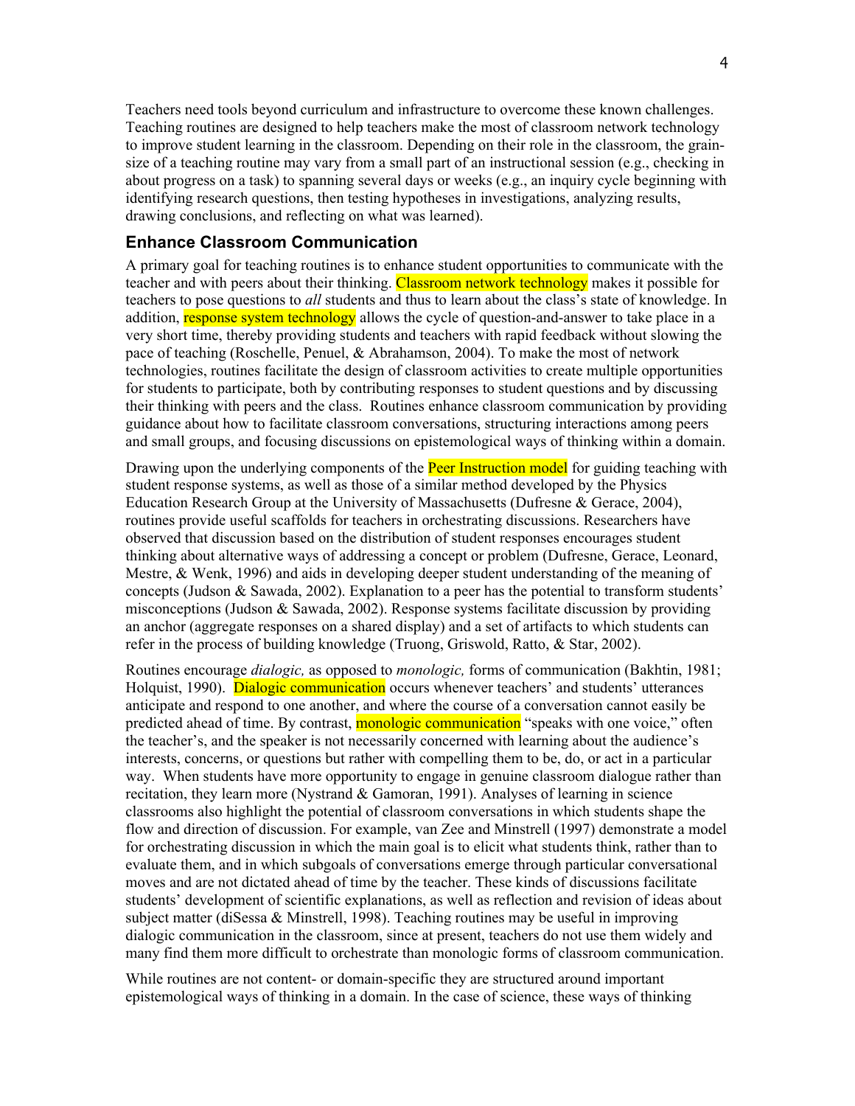Teachers need tools beyond curriculum and infrastructure to overcome these known challenges. Teaching routines are designed to help teachers make the most of classroom network technology to improve student learning in the classroom. Depending on their role in the classroom, the grainsize of a teaching routine may vary from a small part of an instructional session (e.g., checking in about progress on a task) to spanning several days or weeks (e.g., an inquiry cycle beginning with identifying research questions, then testing hypotheses in investigations, analyzing results, drawing conclusions, and reflecting on what was learned).

#### **Enhance Classroom Communication**

A primary goal for teaching routines is to enhance student opportunities to communicate with the teacher and with peers about their thinking. Classroom network technology makes it possible for teachers to pose questions to *all* students and thus to learn about the class's state of knowledge. In addition, response system technology allows the cycle of question-and-answer to take place in a very short time, thereby providing students and teachers with rapid feedback without slowing the pace of teaching (Roschelle, Penuel, & Abrahamson, 2004). To make the most of network technologies, routines facilitate the design of classroom activities to create multiple opportunities for students to participate, both by contributing responses to student questions and by discussing their thinking with peers and the class. Routines enhance classroom communication by providing guidance about how to facilitate classroom conversations, structuring interactions among peers and small groups, and focusing discussions on epistemological ways of thinking within a domain.

Drawing upon the underlying components of the **Peer Instruction model** for guiding teaching with student response systems, as well as those of a similar method developed by the Physics Education Research Group at the University of Massachusetts (Dufresne & Gerace, 2004), routines provide useful scaffolds for teachers in orchestrating discussions. Researchers have observed that discussion based on the distribution of student responses encourages student thinking about alternative ways of addressing a concept or problem (Dufresne, Gerace, Leonard, Mestre, & Wenk, 1996) and aids in developing deeper student understanding of the meaning of concepts (Judson & Sawada, 2002). Explanation to a peer has the potential to transform students' misconceptions (Judson & Sawada, 2002). Response systems facilitate discussion by providing an anchor (aggregate responses on a shared display) and a set of artifacts to which students can refer in the process of building knowledge (Truong, Griswold, Ratto, & Star, 2002).

Routines encourage *dialogic,* as opposed to *monologic,* forms of communication (Bakhtin, 1981; Holquist, 1990). Dialogic communication occurs whenever teachers' and students' utterances anticipate and respond to one another, and where the course of a conversation cannot easily be predicted ahead of time. By contrast, **monologic communication** "speaks with one voice," often the teacher's, and the speaker is not necessarily concerned with learning about the audience's interests, concerns, or questions but rather with compelling them to be, do, or act in a particular way. When students have more opportunity to engage in genuine classroom dialogue rather than recitation, they learn more (Nystrand & Gamoran, 1991). Analyses of learning in science classrooms also highlight the potential of classroom conversations in which students shape the flow and direction of discussion. For example, van Zee and Minstrell (1997) demonstrate a model for orchestrating discussion in which the main goal is to elicit what students think, rather than to evaluate them, and in which subgoals of conversations emerge through particular conversational moves and are not dictated ahead of time by the teacher. These kinds of discussions facilitate students' development of scientific explanations, as well as reflection and revision of ideas about subject matter (diSessa & Minstrell, 1998). Teaching routines may be useful in improving dialogic communication in the classroom, since at present, teachers do not use them widely and many find them more difficult to orchestrate than monologic forms of classroom communication.

While routines are not content- or domain-specific they are structured around important epistemological ways of thinking in a domain. In the case of science, these ways of thinking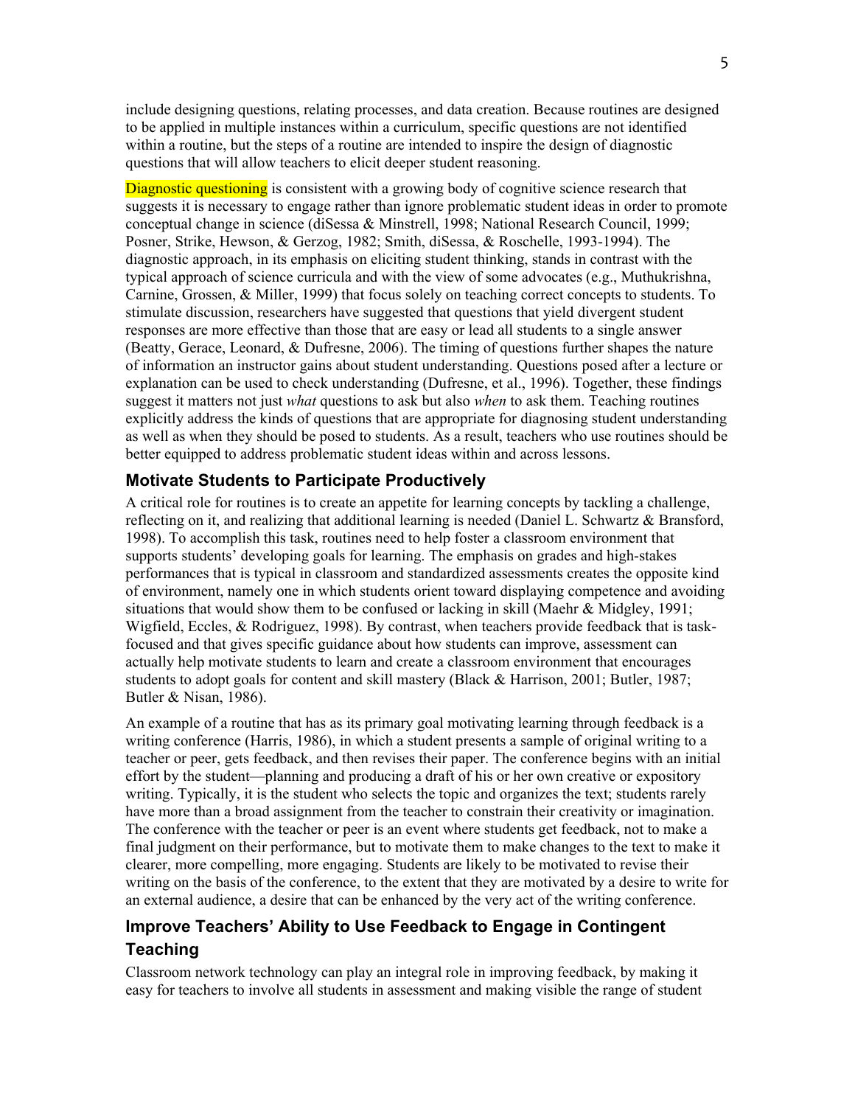include designing questions, relating processes, and data creation. Because routines are designed to be applied in multiple instances within a curriculum, specific questions are not identified within a routine, but the steps of a routine are intended to inspire the design of diagnostic questions that will allow teachers to elicit deeper student reasoning.

Diagnostic questioning is consistent with a growing body of cognitive science research that suggests it is necessary to engage rather than ignore problematic student ideas in order to promote conceptual change in science (diSessa & Minstrell, 1998; National Research Council, 1999; Posner, Strike, Hewson, & Gerzog, 1982; Smith, diSessa, & Roschelle, 1993-1994). The diagnostic approach, in its emphasis on eliciting student thinking, stands in contrast with the typical approach of science curricula and with the view of some advocates (e.g., Muthukrishna, Carnine, Grossen, & Miller, 1999) that focus solely on teaching correct concepts to students. To stimulate discussion, researchers have suggested that questions that yield divergent student responses are more effective than those that are easy or lead all students to a single answer (Beatty, Gerace, Leonard, & Dufresne, 2006). The timing of questions further shapes the nature of information an instructor gains about student understanding. Questions posed after a lecture or explanation can be used to check understanding (Dufresne, et al., 1996). Together, these findings suggest it matters not just *what* questions to ask but also *when* to ask them. Teaching routines explicitly address the kinds of questions that are appropriate for diagnosing student understanding as well as when they should be posed to students. As a result, teachers who use routines should be better equipped to address problematic student ideas within and across lessons.

#### **Motivate Students to Participate Productively**

A critical role for routines is to create an appetite for learning concepts by tackling a challenge, reflecting on it, and realizing that additional learning is needed (Daniel L. Schwartz & Bransford, 1998). To accomplish this task, routines need to help foster a classroom environment that supports students' developing goals for learning. The emphasis on grades and high-stakes performances that is typical in classroom and standardized assessments creates the opposite kind of environment, namely one in which students orient toward displaying competence and avoiding situations that would show them to be confused or lacking in skill (Maehr & Midgley, 1991; Wigfield, Eccles, & Rodriguez, 1998). By contrast, when teachers provide feedback that is taskfocused and that gives specific guidance about how students can improve, assessment can actually help motivate students to learn and create a classroom environment that encourages students to adopt goals for content and skill mastery (Black & Harrison, 2001; Butler, 1987; Butler & Nisan, 1986).

An example of a routine that has as its primary goal motivating learning through feedback is a writing conference (Harris, 1986), in which a student presents a sample of original writing to a teacher or peer, gets feedback, and then revises their paper. The conference begins with an initial effort by the student—planning and producing a draft of his or her own creative or expository writing. Typically, it is the student who selects the topic and organizes the text; students rarely have more than a broad assignment from the teacher to constrain their creativity or imagination. The conference with the teacher or peer is an event where students get feedback, not to make a final judgment on their performance, but to motivate them to make changes to the text to make it clearer, more compelling, more engaging. Students are likely to be motivated to revise their writing on the basis of the conference, to the extent that they are motivated by a desire to write for an external audience, a desire that can be enhanced by the very act of the writing conference.

## **Improve Teachers' Ability to Use Feedback to Engage in Contingent Teaching**

Classroom network technology can play an integral role in improving feedback, by making it easy for teachers to involve all students in assessment and making visible the range of student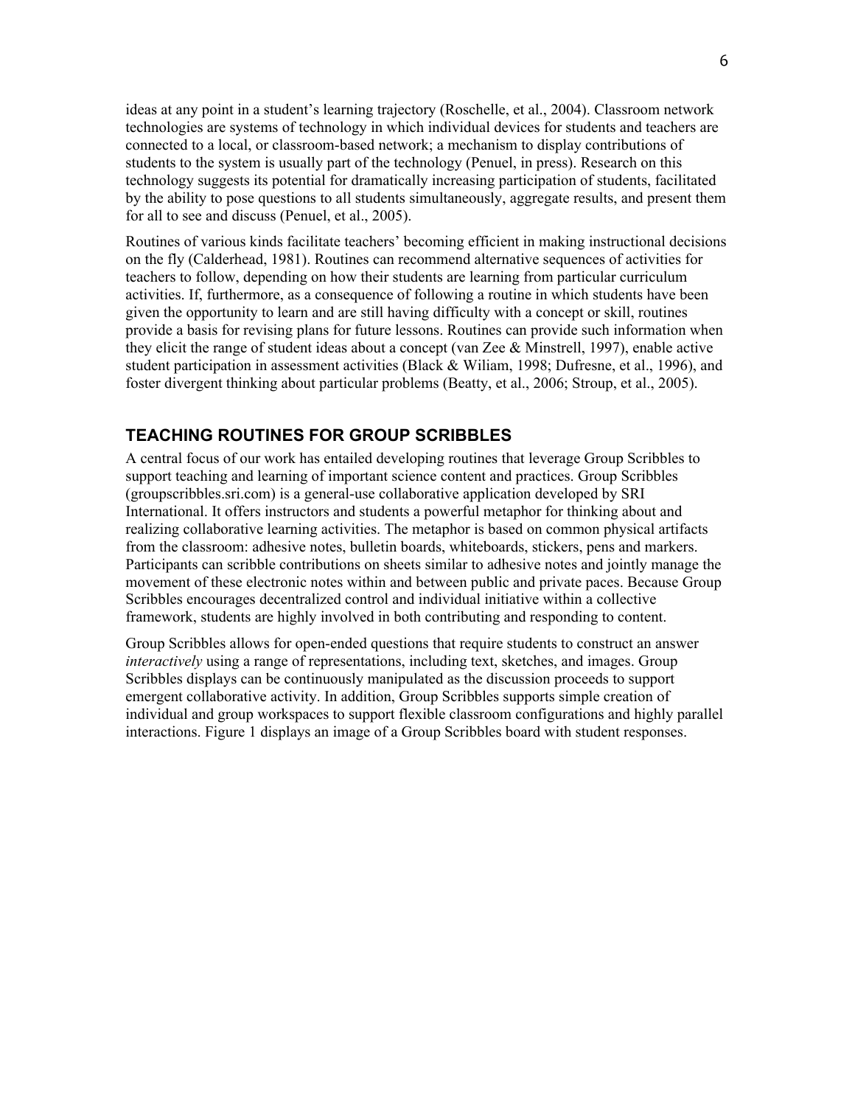ideas at any point in a student's learning trajectory (Roschelle, et al., 2004). Classroom network technologies are systems of technology in which individual devices for students and teachers are connected to a local, or classroom-based network; a mechanism to display contributions of students to the system is usually part of the technology (Penuel, in press). Research on this technology suggests its potential for dramatically increasing participation of students, facilitated by the ability to pose questions to all students simultaneously, aggregate results, and present them for all to see and discuss (Penuel, et al., 2005).

Routines of various kinds facilitate teachers' becoming efficient in making instructional decisions on the fly (Calderhead, 1981). Routines can recommend alternative sequences of activities for teachers to follow, depending on how their students are learning from particular curriculum activities. If, furthermore, as a consequence of following a routine in which students have been given the opportunity to learn and are still having difficulty with a concept or skill, routines provide a basis for revising plans for future lessons. Routines can provide such information when they elicit the range of student ideas about a concept (van Zee  $\&$  Minstrell, 1997), enable active student participation in assessment activities (Black & Wiliam, 1998; Dufresne, et al., 1996), and foster divergent thinking about particular problems (Beatty, et al., 2006; Stroup, et al., 2005).

#### **TEACHING ROUTINES FOR GROUP SCRIBBLES**

A central focus of our work has entailed developing routines that leverage Group Scribbles to support teaching and learning of important science content and practices. Group Scribbles (groupscribbles.sri.com) is a general-use collaborative application developed by SRI International. It offers instructors and students a powerful metaphor for thinking about and realizing collaborative learning activities. The metaphor is based on common physical artifacts from the classroom: adhesive notes, bulletin boards, whiteboards, stickers, pens and markers. Participants can scribble contributions on sheets similar to adhesive notes and jointly manage the movement of these electronic notes within and between public and private paces. Because Group Scribbles encourages decentralized control and individual initiative within a collective framework, students are highly involved in both contributing and responding to content.

Group Scribbles allows for open-ended questions that require students to construct an answer *interactively* using a range of representations, including text, sketches, and images. Group Scribbles displays can be continuously manipulated as the discussion proceeds to support emergent collaborative activity. In addition, Group Scribbles supports simple creation of individual and group workspaces to support flexible classroom configurations and highly parallel interactions. Figure 1 displays an image of a Group Scribbles board with student responses.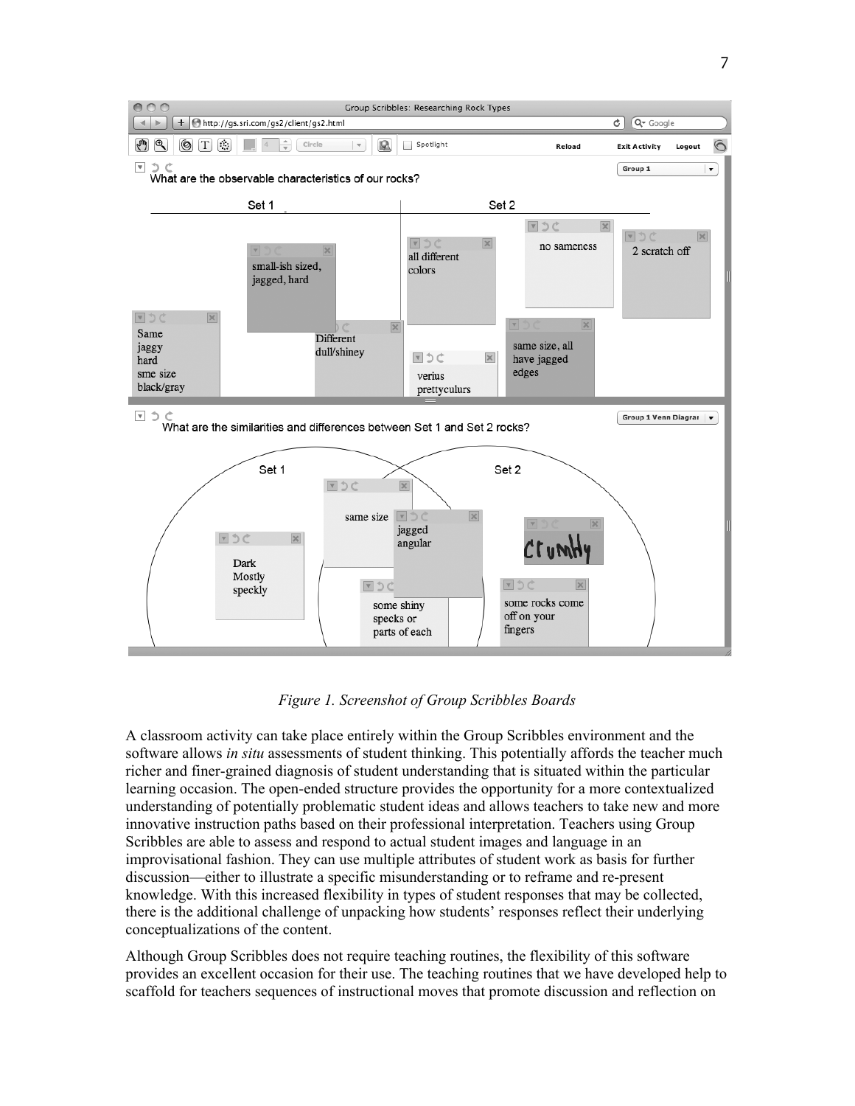

*Figure 1. Screenshot of Group Scribbles Boards*

A classroom activity can take place entirely within the Group Scribbles environment and the software allows *in situ* assessments of student thinking. This potentially affords the teacher much richer and finer-grained diagnosis of student understanding that is situated within the particular learning occasion. The open-ended structure provides the opportunity for a more contextualized understanding of potentially problematic student ideas and allows teachers to take new and more innovative instruction paths based on their professional interpretation. Teachers using Group Scribbles are able to assess and respond to actual student images and language in an improvisational fashion. They can use multiple attributes of student work as basis for further discussion—either to illustrate a specific misunderstanding or to reframe and re-present knowledge. With this increased flexibility in types of student responses that may be collected, there is the additional challenge of unpacking how students' responses reflect their underlying conceptualizations of the content.

Although Group Scribbles does not require teaching routines, the flexibility of this software provides an excellent occasion for their use. The teaching routines that we have developed help to scaffold for teachers sequences of instructional moves that promote discussion and reflection on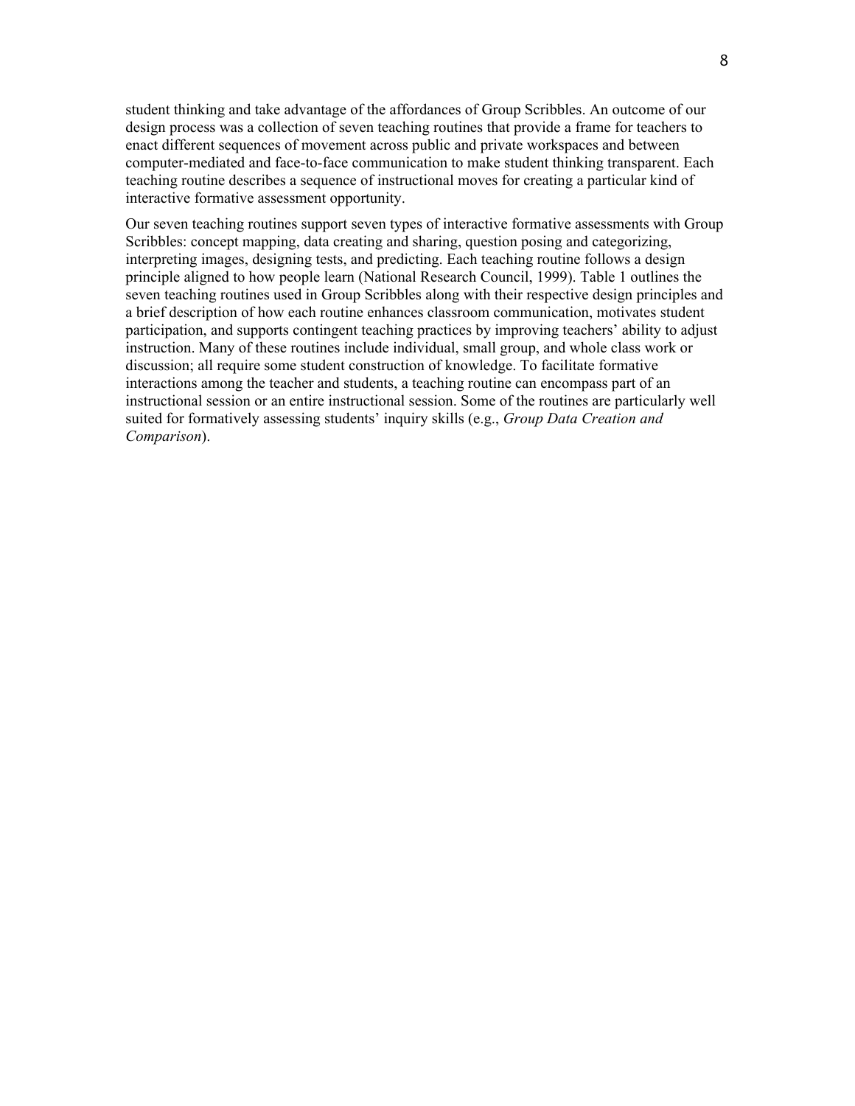student thinking and take advantage of the affordances of Group Scribbles. An outcome of our design process was a collection of seven teaching routines that provide a frame for teachers to enact different sequences of movement across public and private workspaces and between computer-mediated and face-to-face communication to make student thinking transparent. Each teaching routine describes a sequence of instructional moves for creating a particular kind of interactive formative assessment opportunity.

Our seven teaching routines support seven types of interactive formative assessments with Group Scribbles: concept mapping, data creating and sharing, question posing and categorizing, interpreting images, designing tests, and predicting. Each teaching routine follows a design principle aligned to how people learn (National Research Council, 1999). Table 1 outlines the seven teaching routines used in Group Scribbles along with their respective design principles and a brief description of how each routine enhances classroom communication, motivates student participation, and supports contingent teaching practices by improving teachers' ability to adjust instruction. Many of these routines include individual, small group, and whole class work or discussion; all require some student construction of knowledge. To facilitate formative interactions among the teacher and students, a teaching routine can encompass part of an instructional session or an entire instructional session. Some of the routines are particularly well suited for formatively assessing students' inquiry skills (e.g., *Group Data Creation and Comparison*).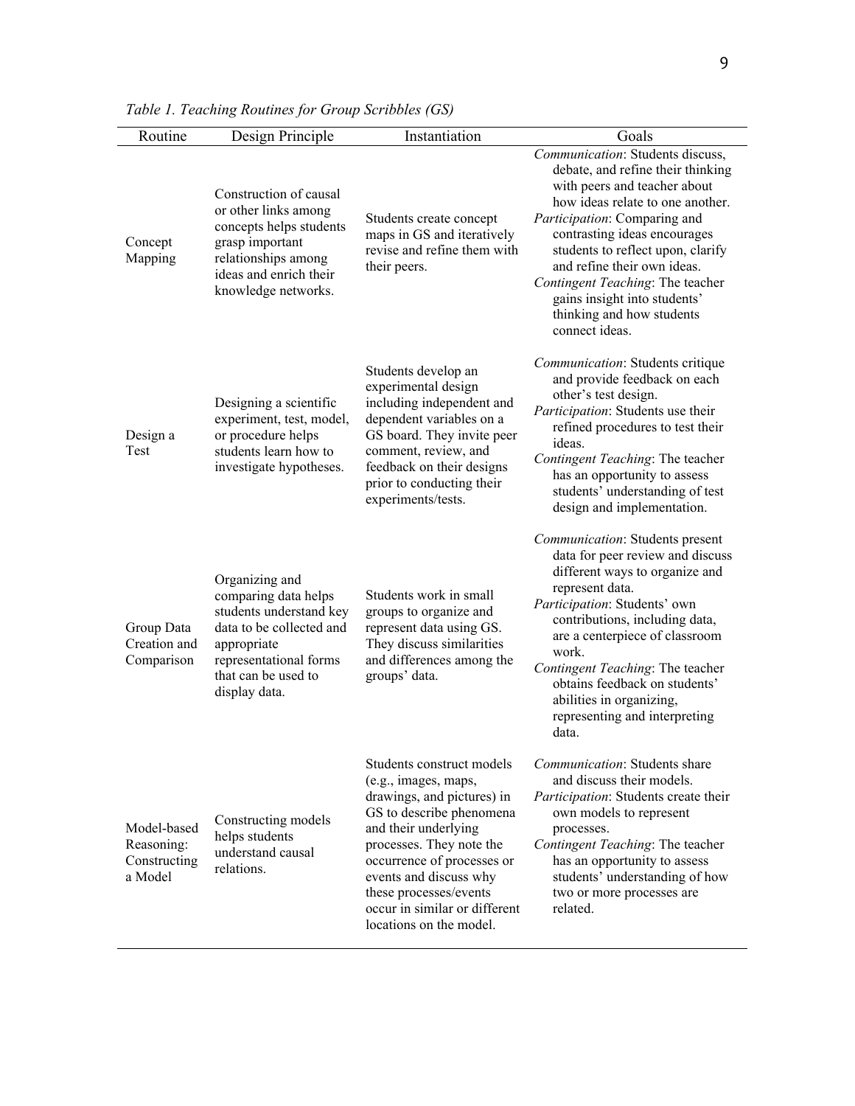| Routine                                              | Design Principle                                                                                                                                                               | Instantiation                                                                                                                                                                                                                                                                                                 | Goals                                                                                                                                                                                                                                                                                                                                                                                            |
|------------------------------------------------------|--------------------------------------------------------------------------------------------------------------------------------------------------------------------------------|---------------------------------------------------------------------------------------------------------------------------------------------------------------------------------------------------------------------------------------------------------------------------------------------------------------|--------------------------------------------------------------------------------------------------------------------------------------------------------------------------------------------------------------------------------------------------------------------------------------------------------------------------------------------------------------------------------------------------|
| Concept<br>Mapping                                   | Construction of causal<br>or other links among<br>concepts helps students<br>grasp important<br>relationships among<br>ideas and enrich their<br>knowledge networks.           | Students create concept<br>maps in GS and iteratively<br>revise and refine them with<br>their peers.                                                                                                                                                                                                          | Communication: Students discuss,<br>debate, and refine their thinking<br>with peers and teacher about<br>how ideas relate to one another.<br>Participation: Comparing and<br>contrasting ideas encourages<br>students to reflect upon, clarify<br>and refine their own ideas.<br>Contingent Teaching: The teacher<br>gains insight into students'<br>thinking and how students<br>connect ideas. |
| Design a<br>Test                                     | Designing a scientific<br>experiment, test, model,<br>or procedure helps<br>students learn how to<br>investigate hypotheses.                                                   | Students develop an<br>experimental design<br>including independent and<br>dependent variables on a<br>GS board. They invite peer<br>comment, review, and<br>feedback on their designs<br>prior to conducting their<br>experiments/tests.                                                                     | Communication: Students critique<br>and provide feedback on each<br>other's test design.<br>Participation: Students use their<br>refined procedures to test their<br>ideas.<br>Contingent Teaching: The teacher<br>has an opportunity to assess<br>students' understanding of test<br>design and implementation.                                                                                 |
| Group Data<br>Creation and<br>Comparison             | Organizing and<br>comparing data helps<br>students understand key<br>data to be collected and<br>appropriate<br>representational forms<br>that can be used to<br>display data. | Students work in small<br>groups to organize and<br>represent data using GS.<br>They discuss similarities<br>and differences among the<br>groups' data.                                                                                                                                                       | Communication: Students present<br>data for peer review and discuss<br>different ways to organize and<br>represent data.<br>Participation: Students' own<br>contributions, including data,<br>are a centerpiece of classroom<br>work.<br>Contingent Teaching: The teacher<br>obtains feedback on students'<br>abilities in organizing,<br>representing and interpreting<br>data.                 |
| Model-based<br>Reasoning:<br>Constructing<br>a Model | Constructing models<br>helps students<br>understand causal<br>relations.                                                                                                       | Students construct models<br>(e.g., images, maps,<br>drawings, and pictures) in<br>GS to describe phenomena<br>and their underlying<br>processes. They note the<br>occurrence of processes or<br>events and discuss why<br>these processes/events<br>occur in similar or different<br>locations on the model. | <i>Communication:</i> Students share<br>and discuss their models.<br>Participation: Students create their<br>own models to represent<br>processes.<br>Contingent Teaching: The teacher<br>has an opportunity to assess<br>students' understanding of how<br>two or more processes are<br>related.                                                                                                |

*Table 1. Teaching Routines for Group Scribbles (GS)*

 $\overline{\phantom{0}}$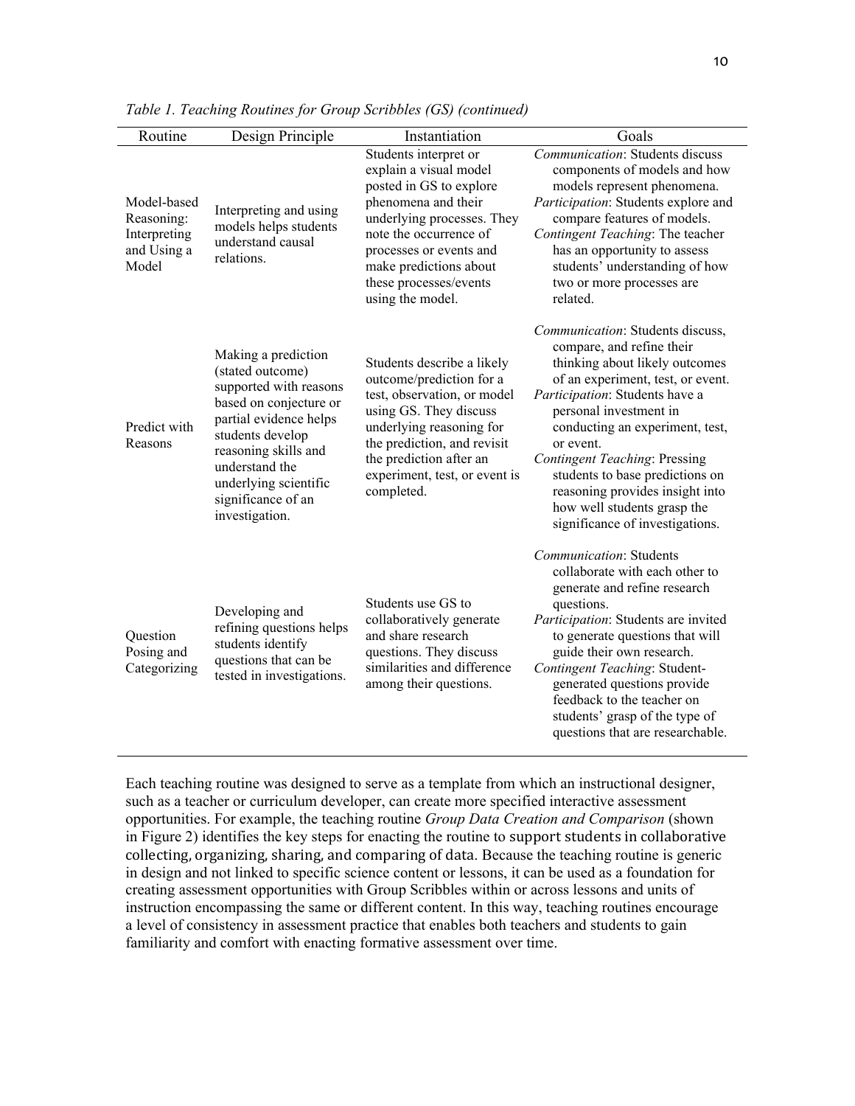| Routine                                                           | Design Principle                                                                                                                                                                                                                                     | Instantiation                                                                                                                                                                                                                                                | Goals                                                                                                                                                                                                                                                                                                                                                                                                                            |
|-------------------------------------------------------------------|------------------------------------------------------------------------------------------------------------------------------------------------------------------------------------------------------------------------------------------------------|--------------------------------------------------------------------------------------------------------------------------------------------------------------------------------------------------------------------------------------------------------------|----------------------------------------------------------------------------------------------------------------------------------------------------------------------------------------------------------------------------------------------------------------------------------------------------------------------------------------------------------------------------------------------------------------------------------|
| Model-based<br>Reasoning:<br>Interpreting<br>and Using a<br>Model | Interpreting and using<br>models helps students<br>understand causal<br>relations.                                                                                                                                                                   | Students interpret or<br>explain a visual model<br>posted in GS to explore<br>phenomena and their<br>underlying processes. They<br>note the occurrence of<br>processes or events and<br>make predictions about<br>these processes/events<br>using the model. | Communication: Students discuss<br>components of models and how<br>models represent phenomena.<br>Participation: Students explore and<br>compare features of models.<br>Contingent Teaching: The teacher<br>has an opportunity to assess<br>students' understanding of how<br>two or more processes are<br>related.                                                                                                              |
| Predict with<br>Reasons                                           | Making a prediction<br>(stated outcome)<br>supported with reasons<br>based on conjecture or<br>partial evidence helps<br>students develop<br>reasoning skills and<br>understand the<br>underlying scientific<br>significance of an<br>investigation. | Students describe a likely<br>outcome/prediction for a<br>test, observation, or model<br>using GS. They discuss<br>underlying reasoning for<br>the prediction, and revisit<br>the prediction after an<br>experiment, test, or event is<br>completed.         | Communication: Students discuss,<br>compare, and refine their<br>thinking about likely outcomes<br>of an experiment, test, or event.<br>Participation: Students have a<br>personal investment in<br>conducting an experiment, test,<br>or event.<br><b>Contingent Teaching: Pressing</b><br>students to base predictions on<br>reasoning provides insight into<br>how well students grasp the<br>significance of investigations. |
| Question<br>Posing and<br>Categorizing                            | Developing and<br>refining questions helps<br>students identify<br>questions that can be<br>tested in investigations.                                                                                                                                | Students use GS to<br>collaboratively generate<br>and share research<br>questions. They discuss<br>similarities and difference<br>among their questions.                                                                                                     | Communication: Students<br>collaborate with each other to<br>generate and refine research<br>questions.<br>Participation: Students are invited<br>to generate questions that will<br>guide their own research.<br>Contingent Teaching: Student-<br>generated questions provide<br>feedback to the teacher on<br>students' grasp of the type of<br>questions that are researchable.                                               |

*Table 1. Teaching Routines for Group Scribbles (GS) (continued)*

Each teaching routine was designed to serve as a template from which an instructional designer, such as a teacher or curriculum developer, can create more specified interactive assessment opportunities. For example, the teaching routine *Group Data Creation and Comparison* (shown in Figure 2) identifies the key steps for enacting the routine to support students in collaborative collecting, organizing, sharing, and comparing of data. Because the teaching routine is generic in design and not linked to specific science content or lessons, it can be used as a foundation for creating assessment opportunities with Group Scribbles within or across lessons and units of instruction encompassing the same or different content. In this way, teaching routines encourage a level of consistency in assessment practice that enables both teachers and students to gain familiarity and comfort with enacting formative assessment over time.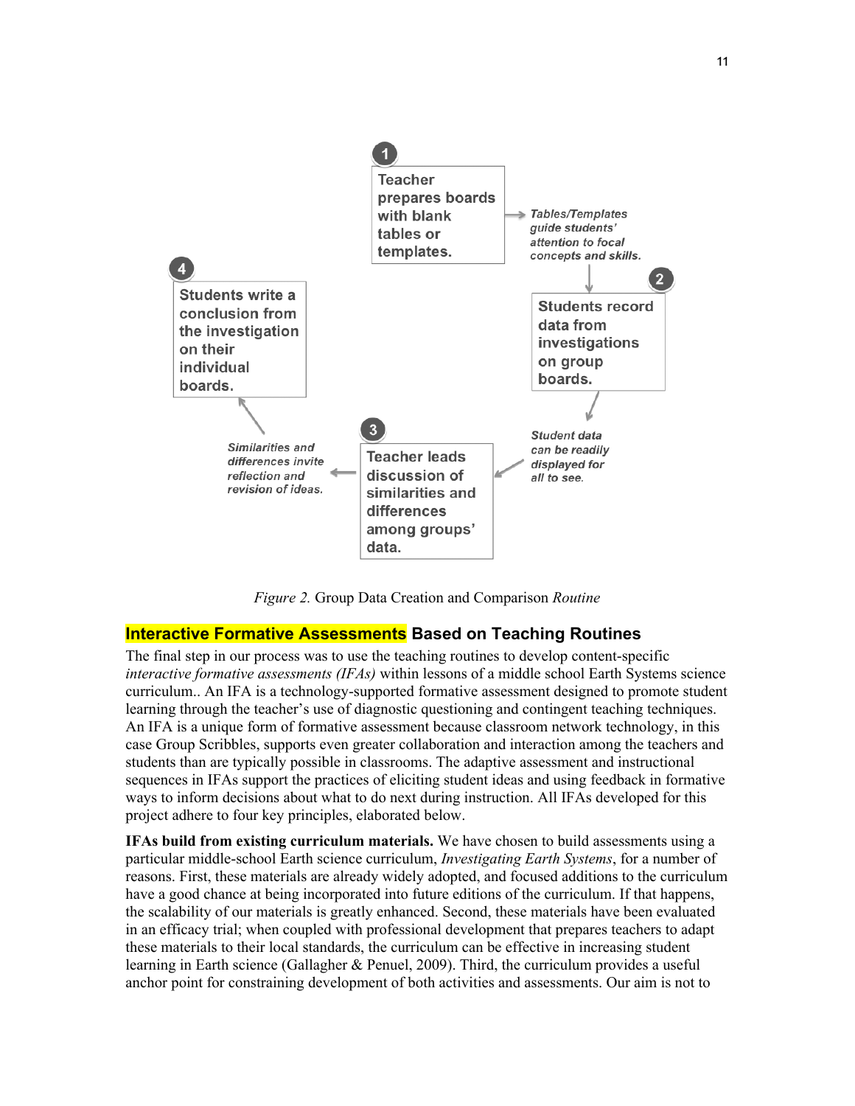

*Figure 2.* Group Data Creation and Comparison *Routine*

#### **Interactive Formative Assessments Based on Teaching Routines**

The final step in our process was to use the teaching routines to develop content-specific *interactive formative assessments (IFAs)* within lessons of a middle school Earth Systems science curriculum.. An IFA is a technology-supported formative assessment designed to promote student learning through the teacher's use of diagnostic questioning and contingent teaching techniques. An IFA is a unique form of formative assessment because classroom network technology, in this case Group Scribbles, supports even greater collaboration and interaction among the teachers and students than are typically possible in classrooms. The adaptive assessment and instructional sequences in IFAs support the practices of eliciting student ideas and using feedback in formative ways to inform decisions about what to do next during instruction. All IFAs developed for this project adhere to four key principles, elaborated below.

**IFAs build from existing curriculum materials.** We have chosen to build assessments using a particular middle-school Earth science curriculum, *Investigating Earth Systems*, for a number of reasons. First, these materials are already widely adopted, and focused additions to the curriculum have a good chance at being incorporated into future editions of the curriculum. If that happens, the scalability of our materials is greatly enhanced. Second, these materials have been evaluated in an efficacy trial; when coupled with professional development that prepares teachers to adapt these materials to their local standards, the curriculum can be effective in increasing student learning in Earth science (Gallagher & Penuel, 2009). Third, the curriculum provides a useful anchor point for constraining development of both activities and assessments. Our aim is not to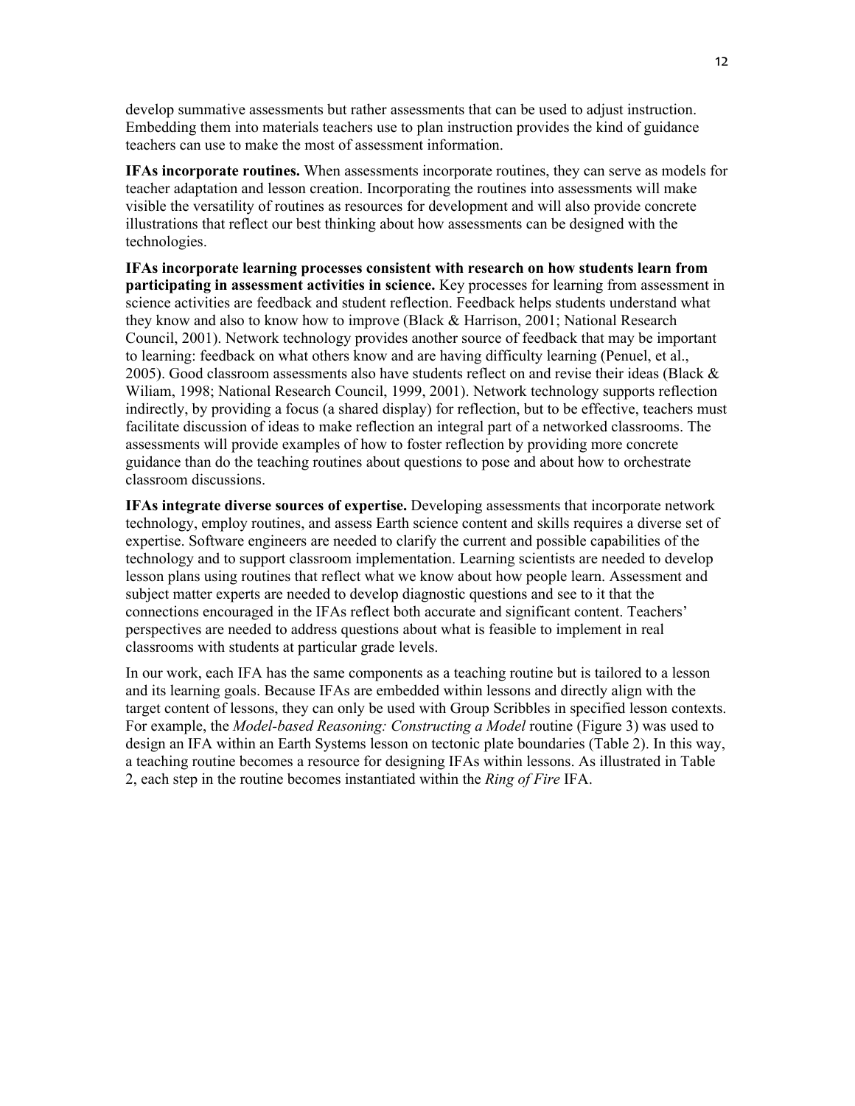develop summative assessments but rather assessments that can be used to adjust instruction. Embedding them into materials teachers use to plan instruction provides the kind of guidance teachers can use to make the most of assessment information.

**IFAs incorporate routines.** When assessments incorporate routines, they can serve as models for teacher adaptation and lesson creation. Incorporating the routines into assessments will make visible the versatility of routines as resources for development and will also provide concrete illustrations that reflect our best thinking about how assessments can be designed with the technologies.

**IFAs incorporate learning processes consistent with research on how students learn from participating in assessment activities in science.** Key processes for learning from assessment in science activities are feedback and student reflection. Feedback helps students understand what they know and also to know how to improve (Black & Harrison, 2001; National Research Council, 2001). Network technology provides another source of feedback that may be important to learning: feedback on what others know and are having difficulty learning (Penuel, et al., 2005). Good classroom assessments also have students reflect on and revise their ideas (Black  $\&$ Wiliam, 1998; National Research Council, 1999, 2001). Network technology supports reflection indirectly, by providing a focus (a shared display) for reflection, but to be effective, teachers must facilitate discussion of ideas to make reflection an integral part of a networked classrooms. The assessments will provide examples of how to foster reflection by providing more concrete guidance than do the teaching routines about questions to pose and about how to orchestrate classroom discussions.

**IFAs integrate diverse sources of expertise.** Developing assessments that incorporate network technology, employ routines, and assess Earth science content and skills requires a diverse set of expertise. Software engineers are needed to clarify the current and possible capabilities of the technology and to support classroom implementation. Learning scientists are needed to develop lesson plans using routines that reflect what we know about how people learn. Assessment and subject matter experts are needed to develop diagnostic questions and see to it that the connections encouraged in the IFAs reflect both accurate and significant content. Teachers' perspectives are needed to address questions about what is feasible to implement in real classrooms with students at particular grade levels.

In our work, each IFA has the same components as a teaching routine but is tailored to a lesson and its learning goals. Because IFAs are embedded within lessons and directly align with the target content of lessons, they can only be used with Group Scribbles in specified lesson contexts. For example, the *Model-based Reasoning: Constructing a Model* routine (Figure 3) was used to design an IFA within an Earth Systems lesson on tectonic plate boundaries (Table 2). In this way, a teaching routine becomes a resource for designing IFAs within lessons. As illustrated in Table 2, each step in the routine becomes instantiated within the *Ring of Fire* IFA.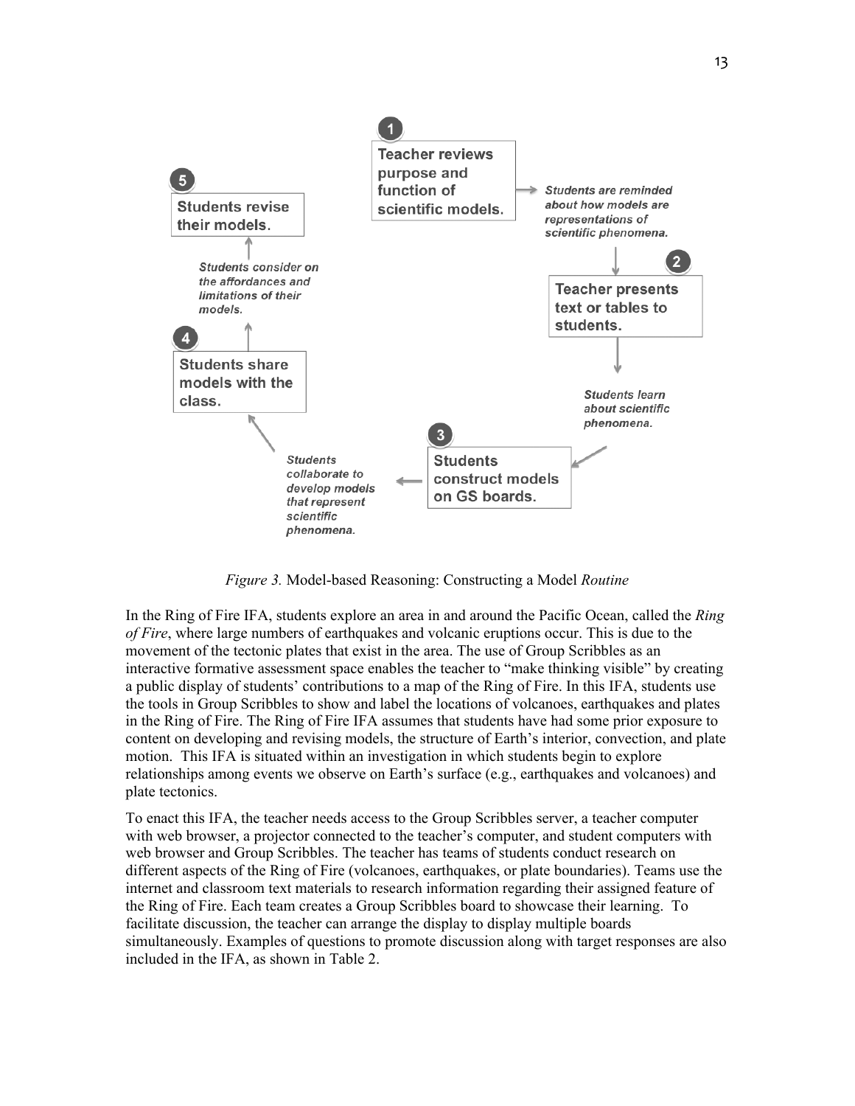

*Figure 3.* Model-based Reasoning: Constructing a Model *Routine*

In the Ring of Fire IFA, students explore an area in and around the Pacific Ocean, called the *Ring of Fire*, where large numbers of earthquakes and volcanic eruptions occur. This is due to the movement of the tectonic plates that exist in the area. The use of Group Scribbles as an interactive formative assessment space enables the teacher to "make thinking visible" by creating a public display of students' contributions to a map of the Ring of Fire. In this IFA, students use the tools in Group Scribbles to show and label the locations of volcanoes, earthquakes and plates in the Ring of Fire. The Ring of Fire IFA assumes that students have had some prior exposure to content on developing and revising models, the structure of Earth's interior, convection, and plate motion. This IFA is situated within an investigation in which students begin to explore relationships among events we observe on Earth's surface (e.g., earthquakes and volcanoes) and plate tectonics.

To enact this IFA, the teacher needs access to the Group Scribbles server, a teacher computer with web browser, a projector connected to the teacher's computer, and student computers with web browser and Group Scribbles. The teacher has teams of students conduct research on different aspects of the Ring of Fire (volcanoes, earthquakes, or plate boundaries). Teams use the internet and classroom text materials to research information regarding their assigned feature of the Ring of Fire. Each team creates a Group Scribbles board to showcase their learning. To facilitate discussion, the teacher can arrange the display to display multiple boards simultaneously. Examples of questions to promote discussion along with target responses are also included in the IFA, as shown in Table 2.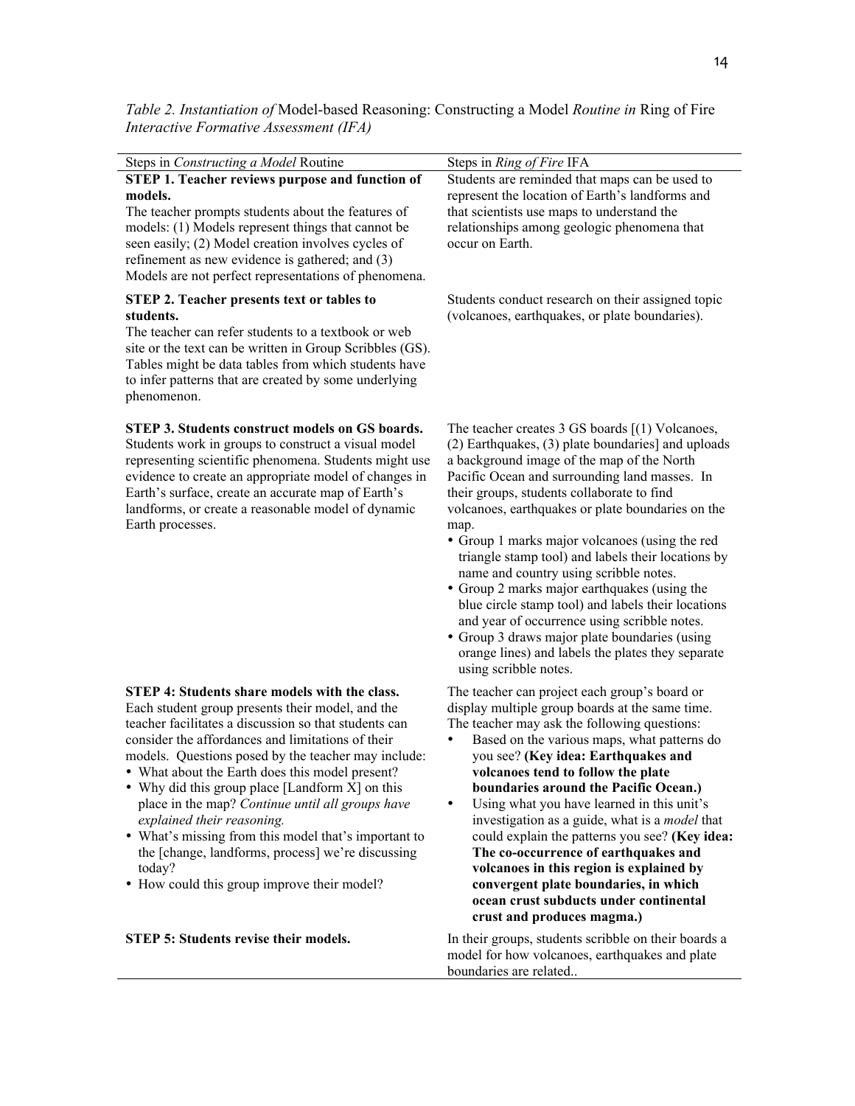*Table 2. Instantiation of* Model-based Reasoning: Constructing a Model *Routine in* Ring of Fire *Interactive Formative Assessment (IFA)*

| Steps in Constructing a Model Routine                                                                                                                                                                                                                                                                                                                                                                                                                                                                                                                                                                                                | Steps in Ring of Fire IFA                                                                                                                                                                                                                                                                                                                                                                                                                                                                                                                                                                                                                                                                                                                                |
|--------------------------------------------------------------------------------------------------------------------------------------------------------------------------------------------------------------------------------------------------------------------------------------------------------------------------------------------------------------------------------------------------------------------------------------------------------------------------------------------------------------------------------------------------------------------------------------------------------------------------------------|----------------------------------------------------------------------------------------------------------------------------------------------------------------------------------------------------------------------------------------------------------------------------------------------------------------------------------------------------------------------------------------------------------------------------------------------------------------------------------------------------------------------------------------------------------------------------------------------------------------------------------------------------------------------------------------------------------------------------------------------------------|
| <b>STEP 1. Teacher reviews purpose and function of</b><br>models.<br>The teacher prompts students about the features of<br>models: (1) Models represent things that cannot be<br>seen easily; (2) Model creation involves cycles of<br>refinement as new evidence is gathered; and (3)<br>Models are not perfect representations of phenomena.                                                                                                                                                                                                                                                                                       | Students are reminded that maps can be used to<br>represent the location of Earth's landforms and<br>that scientists use maps to understand the<br>relationships among geologic phenomena that<br>occur on Earth.                                                                                                                                                                                                                                                                                                                                                                                                                                                                                                                                        |
| <b>STEP 2. Teacher presents text or tables to</b><br>students.<br>The teacher can refer students to a textbook or web<br>site or the text can be written in Group Scribbles (GS).<br>Tables might be data tables from which students have<br>to infer patterns that are created by some underlying<br>phenomenon.                                                                                                                                                                                                                                                                                                                    | Students conduct research on their assigned topic<br>(volcanoes, earthquakes, or plate boundaries).                                                                                                                                                                                                                                                                                                                                                                                                                                                                                                                                                                                                                                                      |
| <b>STEP 3. Students construct models on GS boards.</b><br>Students work in groups to construct a visual model<br>representing scientific phenomena. Students might use<br>evidence to create an appropriate model of changes in<br>Earth's surface, create an accurate map of Earth's<br>landforms, or create a reasonable model of dynamic<br>Earth processes.                                                                                                                                                                                                                                                                      | The teacher creates 3 GS boards $[(1)$ Volcanoes,<br>(2) Earthquakes, (3) plate boundaries] and uploads<br>a background image of the map of the North<br>Pacific Ocean and surrounding land masses. In<br>their groups, students collaborate to find<br>volcanoes, earthquakes or plate boundaries on the<br>map.<br>• Group 1 marks major volcanoes (using the red<br>triangle stamp tool) and labels their locations by<br>name and country using scribble notes.<br>• Group 2 marks major earthquakes (using the<br>blue circle stamp tool) and labels their locations<br>and year of occurrence using scribble notes.<br>• Group 3 draws major plate boundaries (using<br>orange lines) and labels the plates they separate<br>using scribble notes. |
| STEP 4: Students share models with the class.<br>Each student group presents their model, and the<br>teacher facilitates a discussion so that students can<br>consider the affordances and limitations of their<br>models. Questions posed by the teacher may include:<br>• What about the Earth does this model present?<br>• Why did this group place [Landform X] on this<br>place in the map? Continue until all groups have<br>explained their reasoning.<br>• What's missing from this model that's important to<br>the [change, landforms, process] we're discussing<br>today?<br>• How could this group improve their model? | The teacher can project each group's board or<br>display multiple group boards at the same time.<br>The teacher may ask the following questions:<br>Based on the various maps, what patterns do<br>you see? (Key idea: Earthquakes and<br>volcanoes tend to follow the plate<br>boundaries around the Pacific Ocean.)<br>Using what you have learned in this unit's<br>$\bullet$<br>investigation as a guide, what is a model that<br>could explain the patterns you see? (Key idea:<br>The co-occurrence of earthquakes and<br>volcanoes in this region is explained by<br>convergent plate boundaries, in which<br>ocean crust subducts under continental<br>crust and produces magma.)                                                                |
| <b>STEP 5: Students revise their models.</b>                                                                                                                                                                                                                                                                                                                                                                                                                                                                                                                                                                                         | In their groups, students scribble on their boards a<br>model for how volcanoes, earthquakes and plate<br>boundaries are related                                                                                                                                                                                                                                                                                                                                                                                                                                                                                                                                                                                                                         |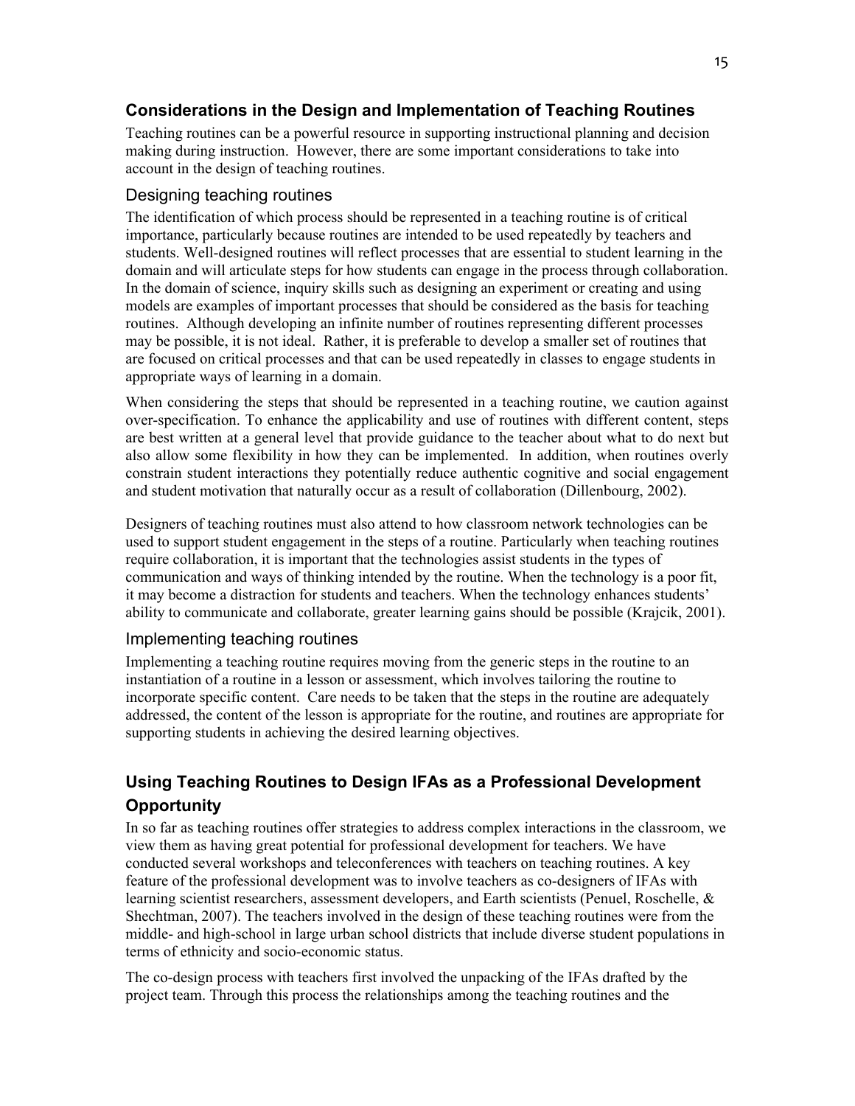## **Considerations in the Design and Implementation of Teaching Routines**

Teaching routines can be a powerful resource in supporting instructional planning and decision making during instruction. However, there are some important considerations to take into account in the design of teaching routines.

#### Designing teaching routines

The identification of which process should be represented in a teaching routine is of critical importance, particularly because routines are intended to be used repeatedly by teachers and students. Well-designed routines will reflect processes that are essential to student learning in the domain and will articulate steps for how students can engage in the process through collaboration. In the domain of science, inquiry skills such as designing an experiment or creating and using models are examples of important processes that should be considered as the basis for teaching routines. Although developing an infinite number of routines representing different processes may be possible, it is not ideal. Rather, it is preferable to develop a smaller set of routines that are focused on critical processes and that can be used repeatedly in classes to engage students in appropriate ways of learning in a domain.

When considering the steps that should be represented in a teaching routine, we caution against over-specification. To enhance the applicability and use of routines with different content, steps are best written at a general level that provide guidance to the teacher about what to do next but also allow some flexibility in how they can be implemented. In addition, when routines overly constrain student interactions they potentially reduce authentic cognitive and social engagement and student motivation that naturally occur as a result of collaboration (Dillenbourg, 2002).

Designers of teaching routines must also attend to how classroom network technologies can be used to support student engagement in the steps of a routine. Particularly when teaching routines require collaboration, it is important that the technologies assist students in the types of communication and ways of thinking intended by the routine. When the technology is a poor fit, it may become a distraction for students and teachers. When the technology enhances students' ability to communicate and collaborate, greater learning gains should be possible (Krajcik, 2001).

#### Implementing teaching routines

Implementing a teaching routine requires moving from the generic steps in the routine to an instantiation of a routine in a lesson or assessment, which involves tailoring the routine to incorporate specific content. Care needs to be taken that the steps in the routine are adequately addressed, the content of the lesson is appropriate for the routine, and routines are appropriate for supporting students in achieving the desired learning objectives.

## **Using Teaching Routines to Design IFAs as a Professional Development Opportunity**

In so far as teaching routines offer strategies to address complex interactions in the classroom, we view them as having great potential for professional development for teachers. We have conducted several workshops and teleconferences with teachers on teaching routines. A key feature of the professional development was to involve teachers as co-designers of IFAs with learning scientist researchers, assessment developers, and Earth scientists (Penuel, Roschelle, & Shechtman, 2007). The teachers involved in the design of these teaching routines were from the middle- and high-school in large urban school districts that include diverse student populations in terms of ethnicity and socio-economic status.

The co-design process with teachers first involved the unpacking of the IFAs drafted by the project team. Through this process the relationships among the teaching routines and the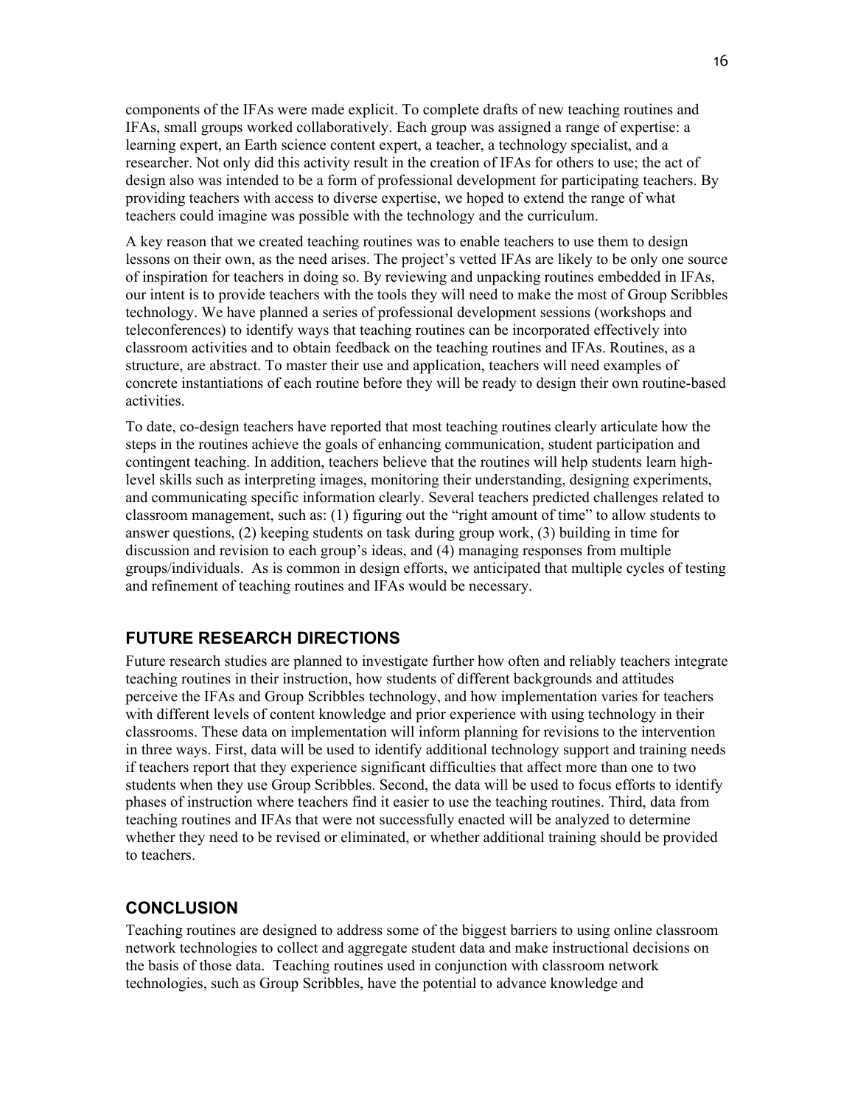components of the IFAs were made explicit. To complete drafts of new teaching routines and IFAs, small groups worked collaboratively. Each group was assigned a range of expertise: a learning expert, an Earth science content expert, a teacher, a technology specialist, and a researcher. Not only did this activity result in the creation of IFAs for others to use; the act of design also was intended to be a form of professional development for participating teachers. By providing teachers with access to diverse expertise, we hoped to extend the range of what teachers could imagine was possible with the technology and the curriculum.

A key reason that we created teaching routines was to enable teachers to use them to design lessons on their own, as the need arises. The project's vetted IFAs are likely to be only one source of inspiration for teachers in doing so. By reviewing and unpacking routines embedded in IFAs, our intent is to provide teachers with the tools they will need to make the most of Group Scribbles technology. We have planned a series of professional development sessions (workshops and teleconferences) to identify ways that teaching routines can be incorporated effectively into classroom activities and to obtain feedback on the teaching routines and IFAs. Routines, as a structure, are abstract. To master their use and application, teachers will need examples of concrete instantiations of each routine before they will be ready to design their own routine-based activities.

To date, co-design teachers have reported that most teaching routines clearly articulate how the steps in the routines achieve the goals of enhancing communication, student participation and contingent teaching. In addition, teachers believe that the routines will help students learn highlevel skills such as interpreting images, monitoring their understanding, designing experiments, and communicating specific information clearly. Several teachers predicted challenges related to classroom management, such as: (1) figuring out the "right amount of time" to allow students to answer questions, (2) keeping students on task during group work, (3) building in time for discussion and revision to each group's ideas, and (4) managing responses from multiple groups/individuals. As is common in design efforts, we anticipated that multiple cycles of testing and refinement of teaching routines and IFAs would be necessary.

#### **FUTURE RESEARCH DIRECTIONS**

Future research studies are planned to investigate further how often and reliably teachers integrate teaching routines in their instruction, how students of different backgrounds and attitudes perceive the IFAs and Group Scribbles technology, and how implementation varies for teachers with different levels of content knowledge and prior experience with using technology in their classrooms. These data on implementation will inform planning for revisions to the intervention in three ways. First, data will be used to identify additional technology support and training needs if teachers report that they experience significant difficulties that affect more than one to two students when they use Group Scribbles. Second, the data will be used to focus efforts to identify phases of instruction where teachers find it easier to use the teaching routines. Third, data from teaching routines and IFAs that were not successfully enacted will be analyzed to determine whether they need to be revised or eliminated, or whether additional training should be provided to teachers.

#### **CONCLUSION**

Teaching routines are designed to address some of the biggest barriers to using online classroom network technologies to collect and aggregate student data and make instructional decisions on the basis of those data. Teaching routines used in conjunction with classroom network technologies, such as Group Scribbles, have the potential to advance knowledge and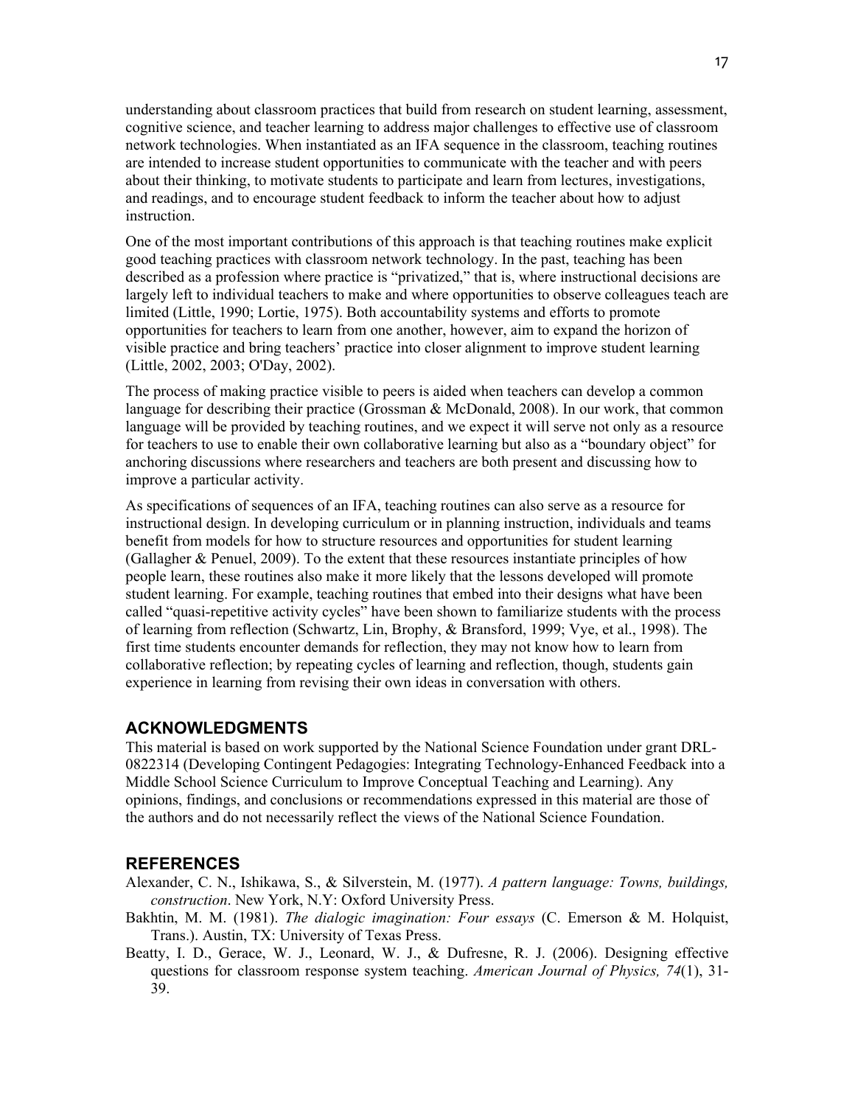understanding about classroom practices that build from research on student learning, assessment, cognitive science, and teacher learning to address major challenges to effective use of classroom network technologies. When instantiated as an IFA sequence in the classroom, teaching routines are intended to increase student opportunities to communicate with the teacher and with peers about their thinking, to motivate students to participate and learn from lectures, investigations, and readings, and to encourage student feedback to inform the teacher about how to adjust instruction.

One of the most important contributions of this approach is that teaching routines make explicit good teaching practices with classroom network technology. In the past, teaching has been described as a profession where practice is "privatized," that is, where instructional decisions are largely left to individual teachers to make and where opportunities to observe colleagues teach are limited (Little, 1990; Lortie, 1975). Both accountability systems and efforts to promote opportunities for teachers to learn from one another, however, aim to expand the horizon of visible practice and bring teachers' practice into closer alignment to improve student learning (Little, 2002, 2003; O'Day, 2002).

The process of making practice visible to peers is aided when teachers can develop a common language for describing their practice (Grossman & McDonald, 2008). In our work, that common language will be provided by teaching routines, and we expect it will serve not only as a resource for teachers to use to enable their own collaborative learning but also as a "boundary object" for anchoring discussions where researchers and teachers are both present and discussing how to improve a particular activity.

As specifications of sequences of an IFA, teaching routines can also serve as a resource for instructional design. In developing curriculum or in planning instruction, individuals and teams benefit from models for how to structure resources and opportunities for student learning (Gallagher & Penuel, 2009). To the extent that these resources instantiate principles of how people learn, these routines also make it more likely that the lessons developed will promote student learning. For example, teaching routines that embed into their designs what have been called "quasi-repetitive activity cycles" have been shown to familiarize students with the process of learning from reflection (Schwartz, Lin, Brophy, & Bransford, 1999; Vye, et al., 1998). The first time students encounter demands for reflection, they may not know how to learn from collaborative reflection; by repeating cycles of learning and reflection, though, students gain experience in learning from revising their own ideas in conversation with others.

#### **ACKNOWLEDGMENTS**

This material is based on work supported by the National Science Foundation under grant DRL-0822314 (Developing Contingent Pedagogies: Integrating Technology-Enhanced Feedback into a Middle School Science Curriculum to Improve Conceptual Teaching and Learning). Any opinions, findings, and conclusions or recommendations expressed in this material are those of the authors and do not necessarily reflect the views of the National Science Foundation.

#### **REFERENCES**

Alexander, C. N., Ishikawa, S., & Silverstein, M. (1977). *A pattern language: Towns, buildings, construction*. New York, N.Y: Oxford University Press.

- Bakhtin, M. M. (1981). *The dialogic imagination: Four essays* (C. Emerson & M. Holquist, Trans.). Austin, TX: University of Texas Press.
- Beatty, I. D., Gerace, W. J., Leonard, W. J., & Dufresne, R. J. (2006). Designing effective questions for classroom response system teaching. *American Journal of Physics, 74*(1), 31- 39.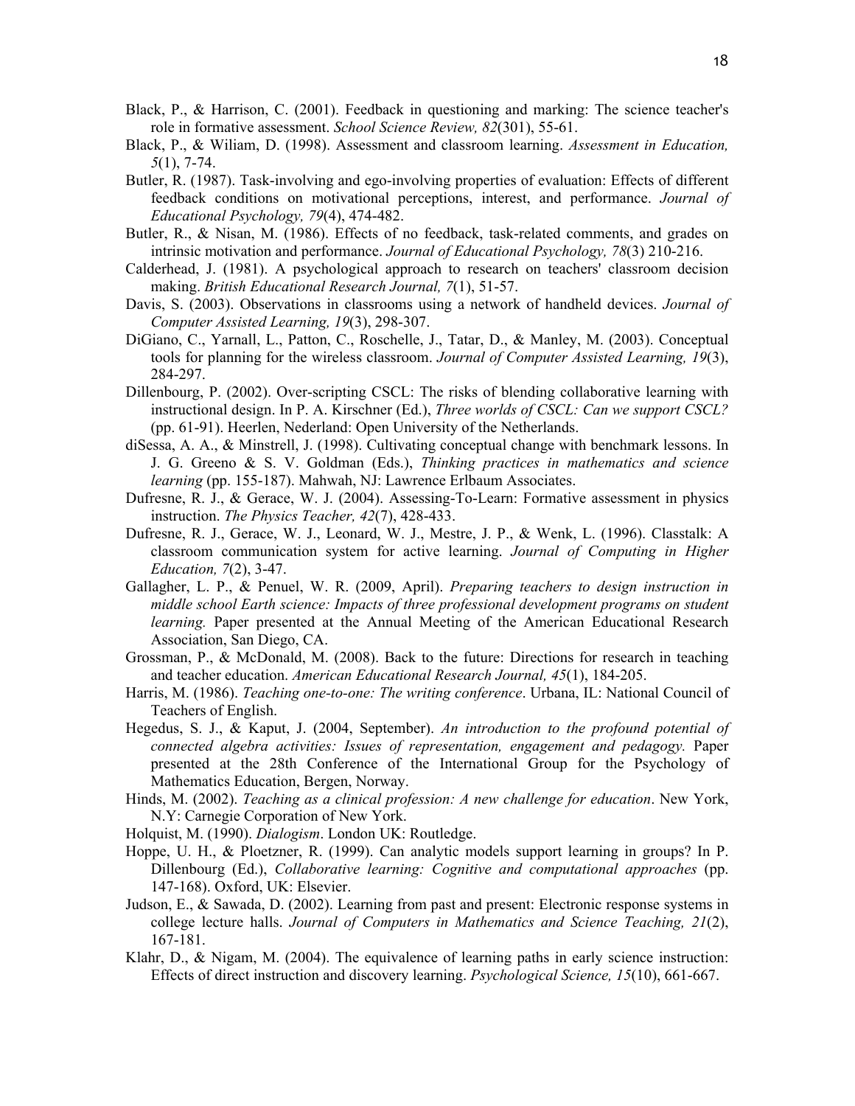- Black, P., & Harrison, C. (2001). Feedback in questioning and marking: The science teacher's role in formative assessment. *School Science Review, 82*(301), 55-61.
- Black, P., & Wiliam, D. (1998). Assessment and classroom learning. *Assessment in Education, 5*(1), 7-74.
- Butler, R. (1987). Task-involving and ego-involving properties of evaluation: Effects of different feedback conditions on motivational perceptions, interest, and performance. *Journal of Educational Psychology, 79*(4), 474-482.
- Butler, R., & Nisan, M. (1986). Effects of no feedback, task-related comments, and grades on intrinsic motivation and performance. *Journal of Educational Psychology, 78*(3) 210-216.
- Calderhead, J. (1981). A psychological approach to research on teachers' classroom decision making. *British Educational Research Journal, 7*(1), 51-57.
- Davis, S. (2003). Observations in classrooms using a network of handheld devices. *Journal of Computer Assisted Learning, 19*(3), 298-307.
- DiGiano, C., Yarnall, L., Patton, C., Roschelle, J., Tatar, D., & Manley, M. (2003). Conceptual tools for planning for the wireless classroom. *Journal of Computer Assisted Learning, 19*(3), 284-297.
- Dillenbourg, P. (2002). Over-scripting CSCL: The risks of blending collaborative learning with instructional design. In P. A. Kirschner (Ed.), *Three worlds of CSCL: Can we support CSCL?* (pp. 61-91). Heerlen, Nederland: Open University of the Netherlands.
- diSessa, A. A., & Minstrell, J. (1998). Cultivating conceptual change with benchmark lessons. In J. G. Greeno & S. V. Goldman (Eds.), *Thinking practices in mathematics and science learning* (pp. 155-187). Mahwah, NJ: Lawrence Erlbaum Associates.
- Dufresne, R. J., & Gerace, W. J. (2004). Assessing-To-Learn: Formative assessment in physics instruction. *The Physics Teacher, 42*(7), 428-433.
- Dufresne, R. J., Gerace, W. J., Leonard, W. J., Mestre, J. P., & Wenk, L. (1996). Classtalk: A classroom communication system for active learning. *Journal of Computing in Higher Education, 7*(2), 3-47.
- Gallagher, L. P., & Penuel, W. R. (2009, April). *Preparing teachers to design instruction in middle school Earth science: Impacts of three professional development programs on student learning.* Paper presented at the Annual Meeting of the American Educational Research Association, San Diego, CA.
- Grossman, P., & McDonald, M. (2008). Back to the future: Directions for research in teaching and teacher education. *American Educational Research Journal, 45*(1), 184-205.
- Harris, M. (1986). *Teaching one-to-one: The writing conference*. Urbana, IL: National Council of Teachers of English.
- Hegedus, S. J., & Kaput, J. (2004, September). *An introduction to the profound potential of connected algebra activities: Issues of representation, engagement and pedagogy.* Paper presented at the 28th Conference of the International Group for the Psychology of Mathematics Education, Bergen, Norway.
- Hinds, M. (2002). *Teaching as a clinical profession: A new challenge for education*. New York, N.Y: Carnegie Corporation of New York.
- Holquist, M. (1990). *Dialogism*. London UK: Routledge.
- Hoppe, U. H., & Ploetzner, R. (1999). Can analytic models support learning in groups? In P. Dillenbourg (Ed.), *Collaborative learning: Cognitive and computational approaches* (pp. 147-168). Oxford, UK: Elsevier.
- Judson, E., & Sawada, D. (2002). Learning from past and present: Electronic response systems in college lecture halls. *Journal of Computers in Mathematics and Science Teaching, 21*(2), 167-181.
- Klahr, D., & Nigam, M. (2004). The equivalence of learning paths in early science instruction: Effects of direct instruction and discovery learning. *Psychological Science, 15*(10), 661-667.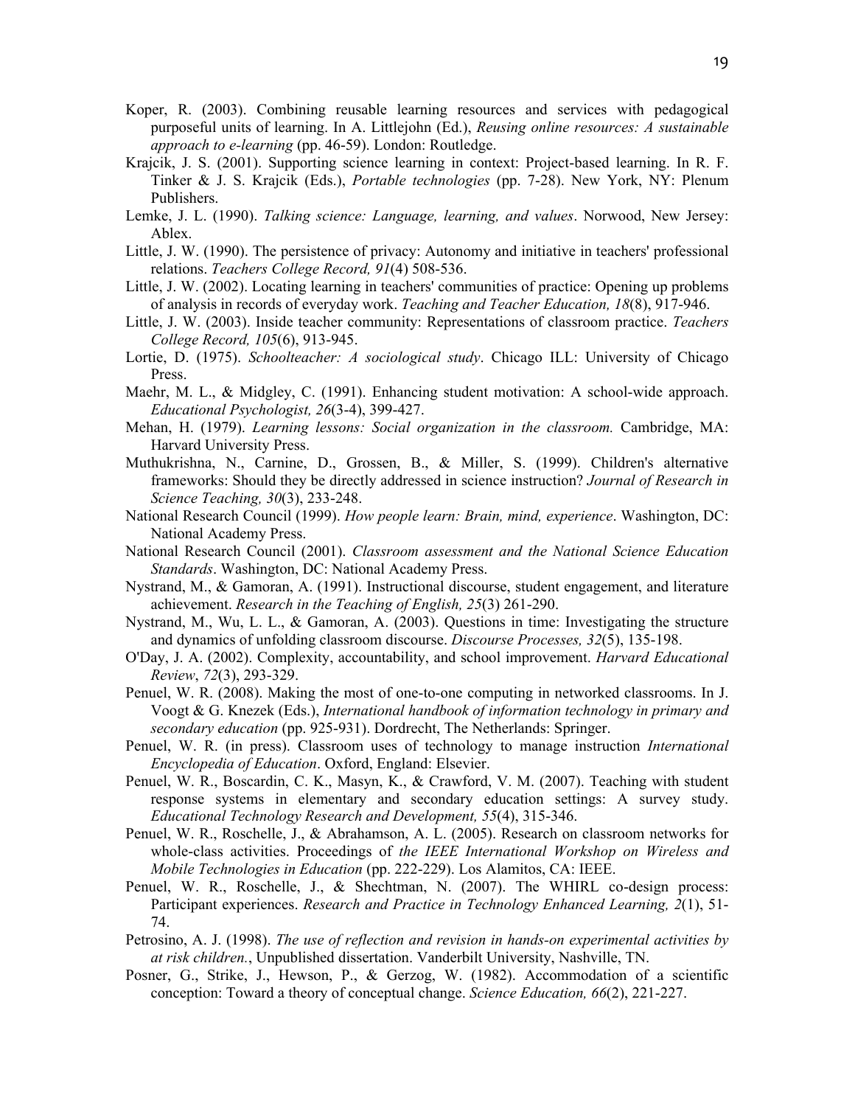- Koper, R. (2003). Combining reusable learning resources and services with pedagogical purposeful units of learning. In A. Littlejohn (Ed.), *Reusing online resources: A sustainable approach to e-learning* (pp. 46-59). London: Routledge.
- Krajcik, J. S. (2001). Supporting science learning in context: Project-based learning. In R. F. Tinker & J. S. Krajcik (Eds.), *Portable technologies* (pp. 7-28). New York, NY: Plenum Publishers.
- Lemke, J. L. (1990). *Talking science: Language, learning, and values*. Norwood, New Jersey: Ablex.
- Little, J. W. (1990). The persistence of privacy: Autonomy and initiative in teachers' professional relations. *Teachers College Record, 91*(4) 508-536.
- Little, J. W. (2002). Locating learning in teachers' communities of practice: Opening up problems of analysis in records of everyday work. *Teaching and Teacher Education, 18*(8), 917-946.
- Little, J. W. (2003). Inside teacher community: Representations of classroom practice. *Teachers College Record, 105*(6), 913-945.
- Lortie, D. (1975). *Schoolteacher: A sociological study*. Chicago ILL: University of Chicago Press.
- Maehr, M. L., & Midgley, C. (1991). Enhancing student motivation: A school-wide approach. *Educational Psychologist, 26*(3-4), 399-427.
- Mehan, H. (1979). *Learning lessons: Social organization in the classroom.* Cambridge, MA: Harvard University Press.
- Muthukrishna, N., Carnine, D., Grossen, B., & Miller, S. (1999). Children's alternative frameworks: Should they be directly addressed in science instruction? *Journal of Research in Science Teaching, 30*(3), 233-248.
- National Research Council (1999). *How people learn: Brain, mind, experience*. Washington, DC: National Academy Press.
- National Research Council (2001). *Classroom assessment and the National Science Education Standards*. Washington, DC: National Academy Press.
- Nystrand, M., & Gamoran, A. (1991). Instructional discourse, student engagement, and literature achievement. *Research in the Teaching of English, 25*(3) 261-290.
- Nystrand, M., Wu, L. L., & Gamoran, A. (2003). Questions in time: Investigating the structure and dynamics of unfolding classroom discourse. *Discourse Processes, 32*(5), 135-198.
- O'Day, J. A. (2002). Complexity, accountability, and school improvement. *Harvard Educational Review*, *72*(3), 293-329.
- Penuel, W. R. (2008). Making the most of one-to-one computing in networked classrooms. In J. Voogt & G. Knezek (Eds.), *International handbook of information technology in primary and secondary education* (pp. 925-931). Dordrecht, The Netherlands: Springer.
- Penuel, W. R. (in press). Classroom uses of technology to manage instruction *International Encyclopedia of Education*. Oxford, England: Elsevier.
- Penuel, W. R., Boscardin, C. K., Masyn, K., & Crawford, V. M. (2007). Teaching with student response systems in elementary and secondary education settings: A survey study. *Educational Technology Research and Development, 55*(4), 315-346.
- Penuel, W. R., Roschelle, J., & Abrahamson, A. L. (2005). Research on classroom networks for whole-class activities. Proceedings of *the IEEE International Workshop on Wireless and Mobile Technologies in Education* (pp. 222-229). Los Alamitos, CA: IEEE.
- Penuel, W. R., Roschelle, J., & Shechtman, N. (2007). The WHIRL co-design process: Participant experiences. *Research and Practice in Technology Enhanced Learning, 2*(1), 51- 74.
- Petrosino, A. J. (1998). *The use of reflection and revision in hands-on experimental activities by at risk children.*, Unpublished dissertation. Vanderbilt University, Nashville, TN.
- Posner, G., Strike, J., Hewson, P., & Gerzog, W. (1982). Accommodation of a scientific conception: Toward a theory of conceptual change. *Science Education, 66*(2), 221-227.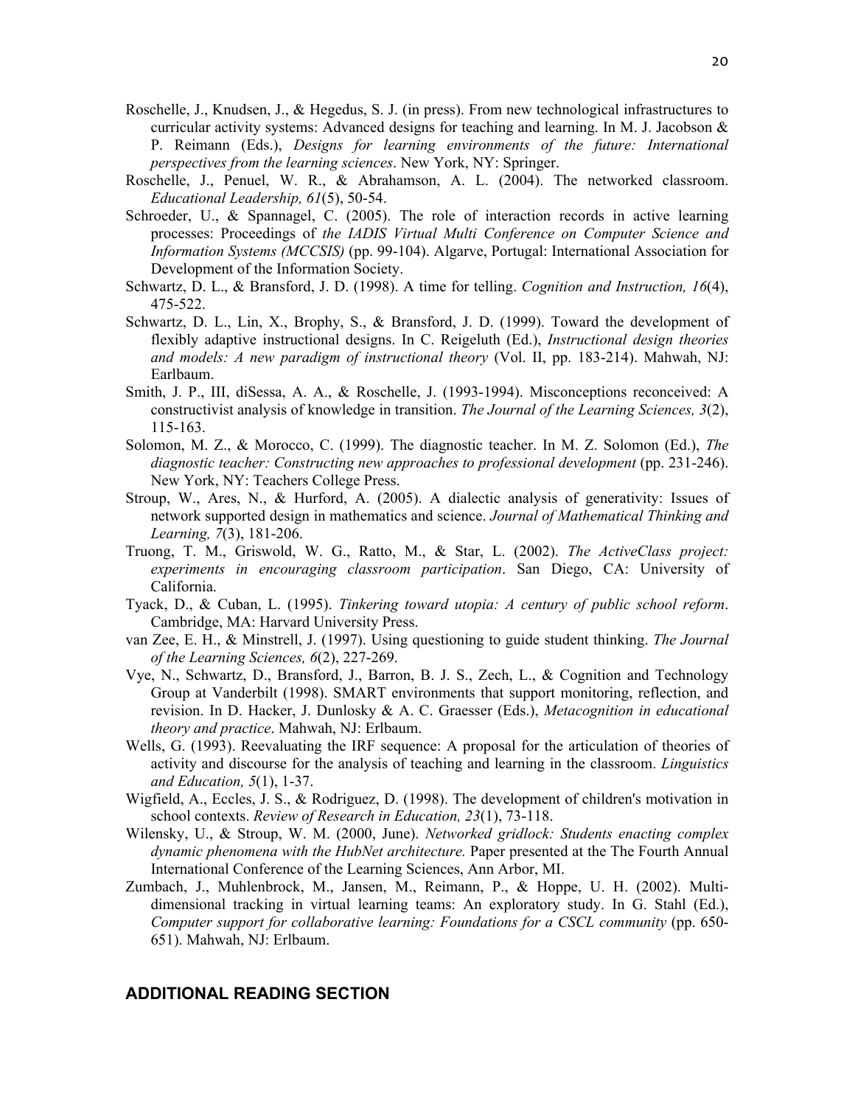- Roschelle, J., Knudsen, J., & Hegedus, S. J. (in press). From new technological infrastructures to curricular activity systems: Advanced designs for teaching and learning. In M. J. Jacobson  $\&$ P. Reimann (Eds.), *Designs for learning environments of the future: International perspectives from the learning sciences*. New York, NY: Springer.
- Roschelle, J., Penuel, W. R., & Abrahamson, A. L. (2004). The networked classroom. *Educational Leadership, 61*(5), 50-54.
- Schroeder, U., & Spannagel, C. (2005). The role of interaction records in active learning processes: Proceedings of *the IADIS Virtual Multi Conference on Computer Science and Information Systems (MCCSIS)* (pp. 99-104). Algarve, Portugal: International Association for Development of the Information Society.
- Schwartz, D. L., & Bransford, J. D. (1998). A time for telling. *Cognition and Instruction, 16*(4), 475-522.
- Schwartz, D. L., Lin, X., Brophy, S., & Bransford, J. D. (1999). Toward the development of flexibly adaptive instructional designs. In C. Reigeluth (Ed.), *Instructional design theories and models: A new paradigm of instructional theory* (Vol. II, pp. 183-214). Mahwah, NJ: Earlbaum.
- Smith, J. P., III, diSessa, A. A., & Roschelle, J. (1993-1994). Misconceptions reconceived: A constructivist analysis of knowledge in transition. *The Journal of the Learning Sciences, 3*(2), 115-163.
- Solomon, M. Z., & Morocco, C. (1999). The diagnostic teacher. In M. Z. Solomon (Ed.), *The diagnostic teacher: Constructing new approaches to professional development* (pp. 231-246). New York, NY: Teachers College Press.
- Stroup, W., Ares, N., & Hurford, A. (2005). A dialectic analysis of generativity: Issues of network supported design in mathematics and science. *Journal of Mathematical Thinking and Learning, 7*(3), 181-206.
- Truong, T. M., Griswold, W. G., Ratto, M., & Star, L. (2002). *The ActiveClass project: experiments in encouraging classroom participation*. San Diego, CA: University of California.
- Tyack, D., & Cuban, L. (1995). *Tinkering toward utopia: A century of public school reform*. Cambridge, MA: Harvard University Press.
- van Zee, E. H., & Minstrell, J. (1997). Using questioning to guide student thinking. *The Journal of the Learning Sciences, 6*(2), 227-269.
- Vye, N., Schwartz, D., Bransford, J., Barron, B. J. S., Zech, L., & Cognition and Technology Group at Vanderbilt (1998). SMART environments that support monitoring, reflection, and revision. In D. Hacker, J. Dunlosky & A. C. Graesser (Eds.), *Metacognition in educational theory and practice*. Mahwah, NJ: Erlbaum.
- Wells, G. (1993). Reevaluating the IRF sequence: A proposal for the articulation of theories of activity and discourse for the analysis of teaching and learning in the classroom. *Linguistics and Education, 5*(1), 1-37.
- Wigfield, A., Eccles, J. S., & Rodriguez, D. (1998). The development of children's motivation in school contexts. *Review of Research in Education, 23*(1), 73-118.
- Wilensky, U., & Stroup, W. M. (2000, June). *Networked gridlock: Students enacting complex dynamic phenomena with the HubNet architecture.* Paper presented at the The Fourth Annual International Conference of the Learning Sciences, Ann Arbor, MI.
- Zumbach, J., Muhlenbrock, M., Jansen, M., Reimann, P., & Hoppe, U. H. (2002). Multidimensional tracking in virtual learning teams: An exploratory study. In G. Stahl (Ed.), *Computer support for collaborative learning: Foundations for a CSCL community* (pp. 650- 651). Mahwah, NJ: Erlbaum.

#### **ADDITIONAL READING SECTION**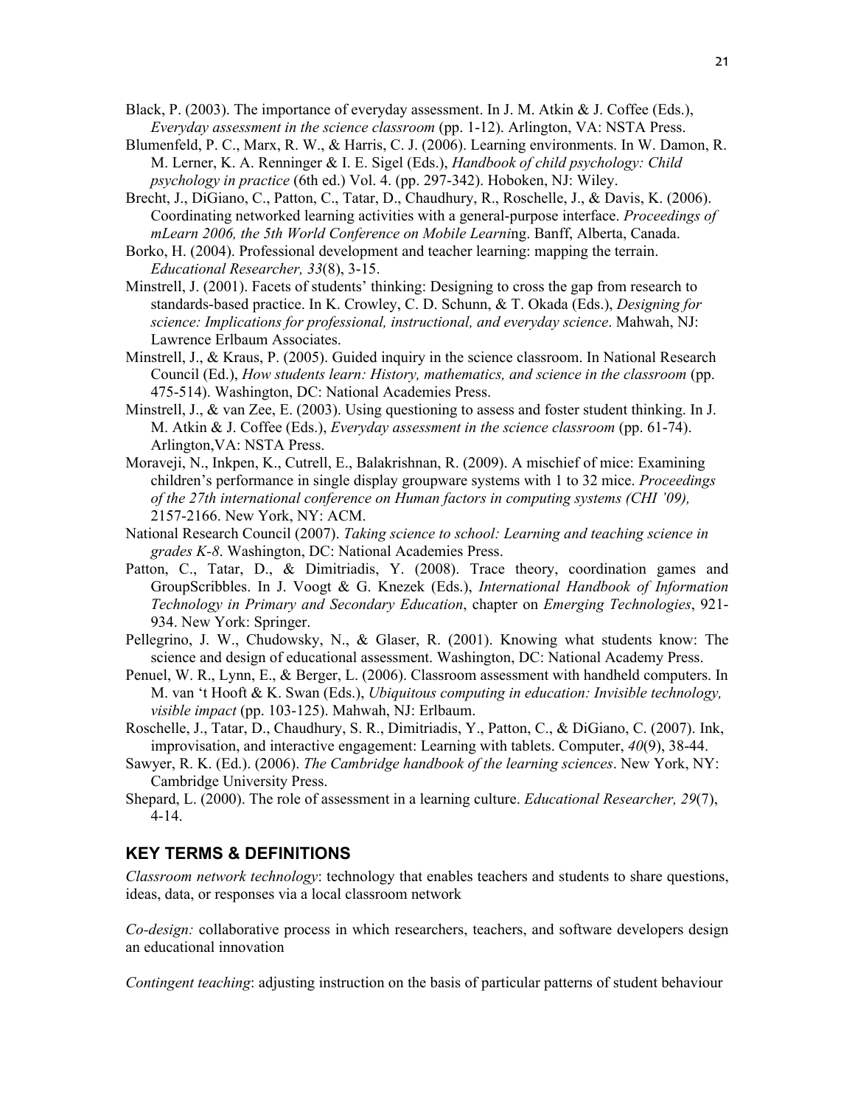- Black, P. (2003). The importance of everyday assessment. In J. M. Atkin & J. Coffee (Eds.), *Everyday assessment in the science classroom* (pp. 1-12). Arlington, VA: NSTA Press.
- Blumenfeld, P. C., Marx, R. W., & Harris, C. J. (2006). Learning environments. In W. Damon, R. M. Lerner, K. A. Renninger & I. E. Sigel (Eds.), *Handbook of child psychology: Child psychology in practice* (6th ed.) Vol. 4. (pp. 297-342). Hoboken, NJ: Wiley.
- Brecht, J., DiGiano, C., Patton, C., Tatar, D., Chaudhury, R., Roschelle, J., & Davis, K. (2006). Coordinating networked learning activities with a general-purpose interface. *Proceedings of mLearn 2006, the 5th World Conference on Mobile Learni*ng. Banff, Alberta, Canada.
- Borko, H. (2004). Professional development and teacher learning: mapping the terrain. *Educational Researcher, 33*(8), 3-15.
- Minstrell, J. (2001). Facets of students' thinking: Designing to cross the gap from research to standards-based practice. In K. Crowley, C. D. Schunn, & T. Okada (Eds.), *Designing for science: Implications for professional, instructional, and everyday science*. Mahwah, NJ: Lawrence Erlbaum Associates.
- Minstrell, J., & Kraus, P. (2005). Guided inquiry in the science classroom. In National Research Council (Ed.), *How students learn: History, mathematics, and science in the classroom* (pp. 475-514). Washington, DC: National Academies Press.
- Minstrell, J.,  $\&$  van Zee, E. (2003). Using questioning to assess and foster student thinking. In J. M. Atkin & J. Coffee (Eds.), *Everyday assessment in the science classroom* (pp. 61-74). Arlington,VA: NSTA Press.
- Moraveji, N., Inkpen, K., Cutrell, E., Balakrishnan, R. (2009). A mischief of mice: Examining children's performance in single display groupware systems with 1 to 32 mice. *Proceedings of the 27th international conference on Human factors in computing systems (CHI '09),* 2157-2166. New York, NY: ACM.
- National Research Council (2007). *Taking science to school: Learning and teaching science in grades K-8*. Washington, DC: National Academies Press.
- Patton, C., Tatar, D., & Dimitriadis, Y. (2008). Trace theory, coordination games and GroupScribbles. In J. Voogt & G. Knezek (Eds.), *International Handbook of Information Technology in Primary and Secondary Education*, chapter on *Emerging Technologies*, 921- 934. New York: Springer.
- Pellegrino, J. W., Chudowsky, N., & Glaser, R. (2001). Knowing what students know: The science and design of educational assessment. Washington, DC: National Academy Press.
- Penuel, W. R., Lynn, E., & Berger, L. (2006). Classroom assessment with handheld computers. In M. van 't Hooft & K. Swan (Eds.), *Ubiquitous computing in education: Invisible technology, visible impact* (pp. 103-125). Mahwah, NJ: Erlbaum.
- Roschelle, J., Tatar, D., Chaudhury, S. R., Dimitriadis, Y., Patton, C., & DiGiano, C. (2007). Ink, improvisation, and interactive engagement: Learning with tablets. Computer, *40*(9), 38-44.
- Sawyer, R. K. (Ed.). (2006). *The Cambridge handbook of the learning sciences*. New York, NY: Cambridge University Press.
- Shepard, L. (2000). The role of assessment in a learning culture. *Educational Researcher, 29*(7), 4-14.

### **KEY TERMS & DEFINITIONS**

*Classroom network technology*: technology that enables teachers and students to share questions, ideas, data, or responses via a local classroom network

*Co-design:* collaborative process in which researchers, teachers, and software developers design an educational innovation

*Contingent teaching*: adjusting instruction on the basis of particular patterns of student behaviour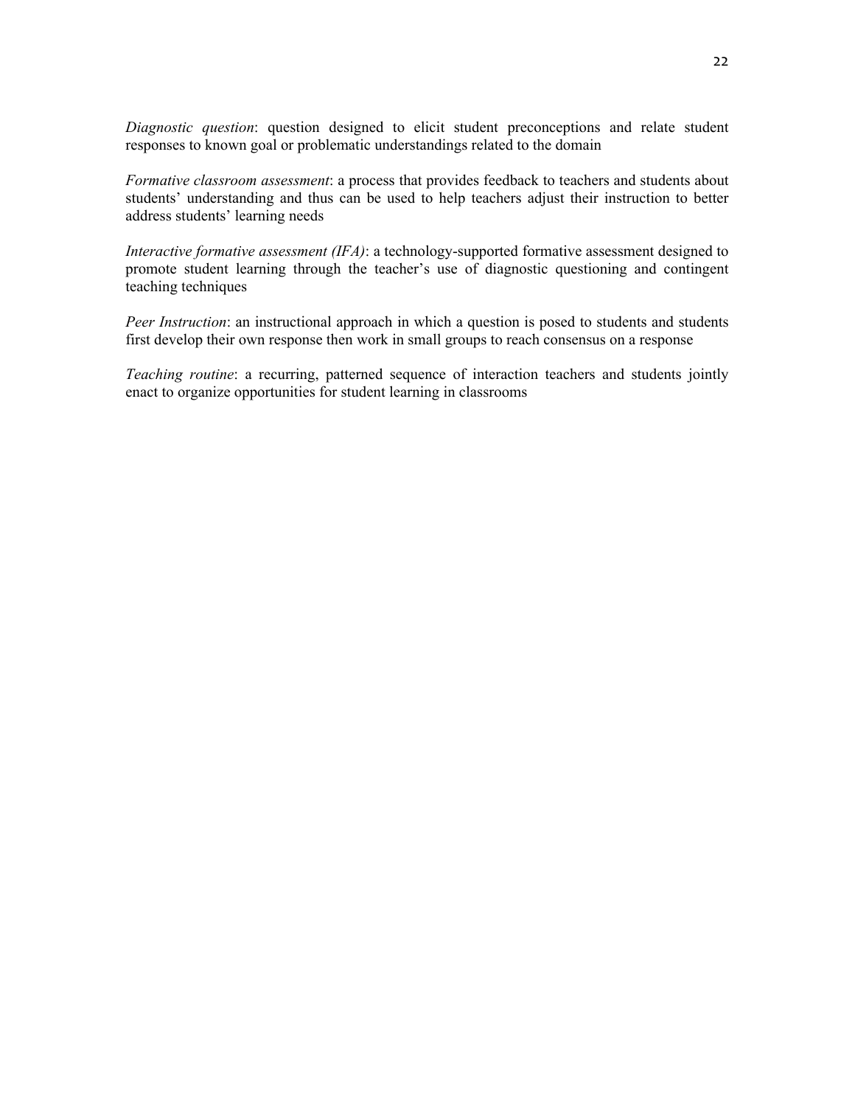*Diagnostic question*: question designed to elicit student preconceptions and relate student responses to known goal or problematic understandings related to the domain

*Formative classroom assessment*: a process that provides feedback to teachers and students about students' understanding and thus can be used to help teachers adjust their instruction to better address students' learning needs

*Interactive formative assessment (IFA)*: a technology-supported formative assessment designed to promote student learning through the teacher's use of diagnostic questioning and contingent teaching techniques

*Peer Instruction*: an instructional approach in which a question is posed to students and students first develop their own response then work in small groups to reach consensus on a response

*Teaching routine*: a recurring, patterned sequence of interaction teachers and students jointly enact to organize opportunities for student learning in classrooms